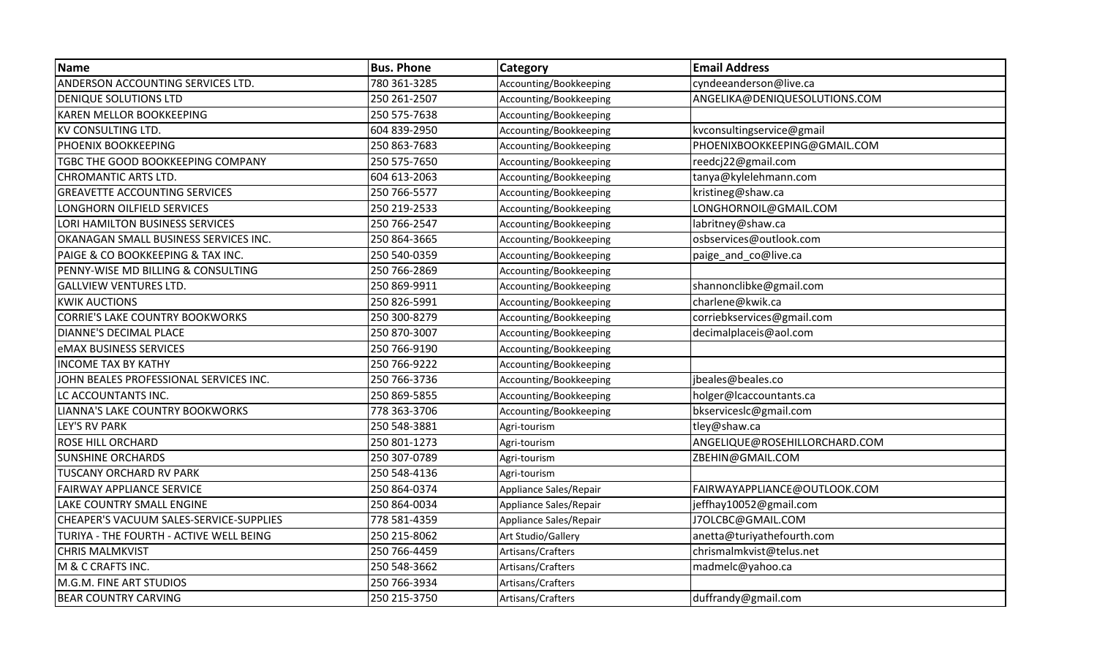| <b>Name</b>                             | <b>Bus. Phone</b> | Category               | <b>Email Address</b>          |
|-----------------------------------------|-------------------|------------------------|-------------------------------|
| ANDERSON ACCOUNTING SERVICES LTD.       | 780 361-3285      | Accounting/Bookkeeping | cyndeeanderson@live.ca        |
| <b>DENIQUE SOLUTIONS LTD</b>            | 250 261-2507      | Accounting/Bookkeeping | ANGELIKA@DENIQUESOLUTIONS.COM |
| <b>KAREN MELLOR BOOKKEEPING</b>         | 250 575-7638      | Accounting/Bookkeeping |                               |
| <b>KV CONSULTING LTD.</b>               | 604 839-2950      | Accounting/Bookkeeping | kvconsultingservice@gmail     |
| PHOENIX BOOKKEEPING                     | 250 863-7683      | Accounting/Bookkeeping | PHOENIXBOOKKEEPING@GMAIL.COM  |
| TGBC THE GOOD BOOKKEEPING COMPANY       | 250 575-7650      | Accounting/Bookkeeping | reedcj22@gmail.com            |
| <b>CHROMANTIC ARTS LTD.</b>             | 604 613-2063      | Accounting/Bookkeeping | tanya@kylelehmann.com         |
| <b>GREAVETTE ACCOUNTING SERVICES</b>    | 250 766-5577      | Accounting/Bookkeeping | kristineg@shaw.ca             |
| LONGHORN OILFIELD SERVICES              | 250 219-2533      | Accounting/Bookkeeping | LONGHORNOIL@GMAIL.COM         |
| LORI HAMILTON BUSINESS SERVICES         | 250 766-2547      | Accounting/Bookkeeping | labritney@shaw.ca             |
| OKANAGAN SMALL BUSINESS SERVICES INC.   | 250 864-3665      | Accounting/Bookkeeping | osbservices@outlook.com       |
| PAIGE & CO BOOKKEEPING & TAX INC.       | 250 540-0359      | Accounting/Bookkeeping | paige_and_co@live.ca          |
| PENNY-WISE MD BILLING & CONSULTING      | 250 766-2869      | Accounting/Bookkeeping |                               |
| <b>GALLVIEW VENTURES LTD.</b>           | 250 869-9911      | Accounting/Bookkeeping | shannonclibke@gmail.com       |
| <b>KWIK AUCTIONS</b>                    | 250 826-5991      | Accounting/Bookkeeping | charlene@kwik.ca              |
| <b>CORRIE'S LAKE COUNTRY BOOKWORKS</b>  | 250 300-8279      | Accounting/Bookkeeping | corriebkservices@gmail.com    |
| DIANNE'S DECIMAL PLACE                  | 250 870-3007      | Accounting/Bookkeeping | decimalplaceis@aol.com        |
| <b>eMAX BUSINESS SERVICES</b>           | 250 766-9190      | Accounting/Bookkeeping |                               |
| <b>INCOME TAX BY KATHY</b>              | 250 766-9222      | Accounting/Bookkeeping |                               |
| JOHN BEALES PROFESSIONAL SERVICES INC.  | 250 766-3736      | Accounting/Bookkeeping | jbeales@beales.co             |
| LC ACCOUNTANTS INC.                     | 250 869-5855      | Accounting/Bookkeeping | holger@lcaccountants.ca       |
| LIANNA'S LAKE COUNTRY BOOKWORKS         | 778 363-3706      | Accounting/Bookkeeping | bkserviceslc@gmail.com        |
| <b>LEY'S RV PARK</b>                    | 250 548-3881      | Agri-tourism           | tley@shaw.ca                  |
| <b>ROSE HILL ORCHARD</b>                | 250 801-1273      | Agri-tourism           | ANGELIQUE@ROSEHILLORCHARD.COM |
| <b>SUNSHINE ORCHARDS</b>                | 250 307-0789      | Agri-tourism           | ZBEHIN@GMAIL.COM              |
| TUSCANY ORCHARD RV PARK                 | 250 548-4136      | Agri-tourism           |                               |
| <b>FAIRWAY APPLIANCE SERVICE</b>        | 250 864-0374      | Appliance Sales/Repair | FAIRWAYAPPLIANCE@OUTLOOK.COM  |
| LAKE COUNTRY SMALL ENGINE               | 250 864-0034      | Appliance Sales/Repair | jeffhay10052@gmail.com        |
| CHEAPER'S VACUUM SALES-SERVICE-SUPPLIES | 778 581-4359      | Appliance Sales/Repair | J7OLCBC@GMAIL.COM             |
| TURIYA - THE FOURTH - ACTIVE WELL BEING | 250 215-8062      | Art Studio/Gallery     | anetta@turiyathefourth.com    |
| <b>CHRIS MALMKVIST</b>                  | 250 766-4459      | Artisans/Crafters      | chrismalmkvist@telus.net      |
| M & C CRAFTS INC.                       | 250 548-3662      | Artisans/Crafters      | madmelc@yahoo.ca              |
| M.G.M. FINE ART STUDIOS                 | 250 766-3934      | Artisans/Crafters      |                               |
| <b>BEAR COUNTRY CARVING</b>             | 250 215-3750      | Artisans/Crafters      | duffrandy@gmail.com           |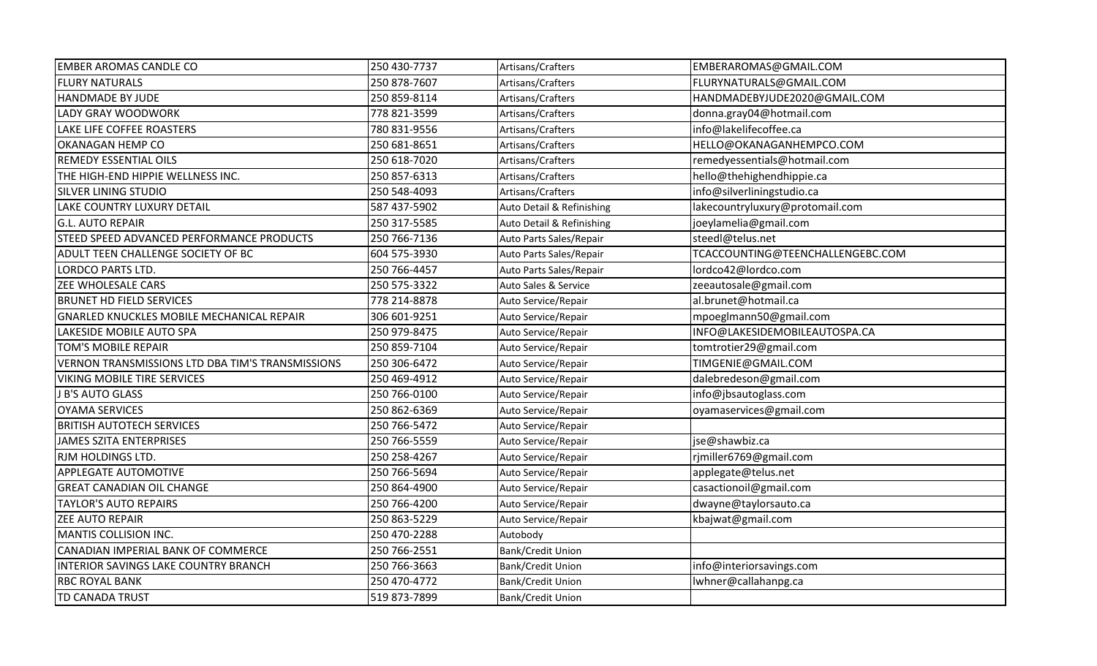| <b>EMBER AROMAS CANDLE CO</b>                    | 250 430-7737 | Artisans/Crafters         | EMBERAROMAS@GMAIL.COM            |
|--------------------------------------------------|--------------|---------------------------|----------------------------------|
| <b>FLURY NATURALS</b>                            | 250 878-7607 | Artisans/Crafters         | FLURYNATURALS@GMAIL.COM          |
| HANDMADE BY JUDE                                 | 250 859-8114 | Artisans/Crafters         | HANDMADEBYJUDE2020@GMAIL.COM     |
| <b>LADY GRAY WOODWORK</b>                        | 778 821-3599 | Artisans/Crafters         | donna.gray04@hotmail.com         |
| LAKE LIFE COFFEE ROASTERS                        | 780 831-9556 | Artisans/Crafters         | info@lakelifecoffee.ca           |
| OKANAGAN HEMP CO                                 | 250 681-8651 | Artisans/Crafters         | HELLO@OKANAGANHEMPCO.COM         |
| <b>REMEDY ESSENTIAL OILS</b>                     | 250 618-7020 | Artisans/Crafters         | remedyessentials@hotmail.com     |
| THE HIGH-END HIPPIE WELLNESS INC.                | 250 857-6313 | Artisans/Crafters         | hello@thehighendhippie.ca        |
| SILVER LINING STUDIO                             | 250 548-4093 | Artisans/Crafters         | info@silverliningstudio.ca       |
| LAKE COUNTRY LUXURY DETAIL                       | 587 437-5902 | Auto Detail & Refinishing | lakecountryluxury@protomail.com  |
| <b>G.L. AUTO REPAIR</b>                          | 250 317-5585 | Auto Detail & Refinishing | joeylamelia@gmail.com            |
| STEED SPEED ADVANCED PERFORMANCE PRODUCTS        | 250 766-7136 | Auto Parts Sales/Repair   | steedl@telus.net                 |
| ADULT TEEN CHALLENGE SOCIETY OF BC               | 604 575-3930 | Auto Parts Sales/Repair   | TCACCOUNTING@TEENCHALLENGEBC.COM |
| <b>LORDCO PARTS LTD.</b>                         | 250 766-4457 | Auto Parts Sales/Repair   | lordco42@lordco.com              |
| ZEE WHOLESALE CARS                               | 250 575-3322 | Auto Sales & Service      | zeeautosale@gmail.com            |
| <b>BRUNET HD FIELD SERVICES</b>                  | 778 214-8878 | Auto Service/Repair       | al.brunet@hotmail.ca             |
| <b>GNARLED KNUCKLES MOBILE MECHANICAL REPAIR</b> | 306 601-9251 | Auto Service/Repair       | mpoeglmann50@gmail.com           |
| LAKESIDE MOBILE AUTO SPA                         | 250 979-8475 | Auto Service/Repair       | INFO@LAKESIDEMOBILEAUTOSPA.CA    |
| TOM'S MOBILE REPAIR                              | 250 859-7104 | Auto Service/Repair       | tomtrotier29@gmail.com           |
| VERNON TRANSMISSIONS LTD DBA TIM'S TRANSMISSIONS | 250 306-6472 | Auto Service/Repair       | TIMGENIE@GMAIL.COM               |
| VIKING MOBILE TIRE SERVICES                      | 250 469-4912 | Auto Service/Repair       | dalebredeson@gmail.com           |
| J B'S AUTO GLASS                                 | 250 766-0100 | Auto Service/Repair       | info@jbsautoglass.com            |
| <b>OYAMA SERVICES</b>                            | 250 862-6369 | Auto Service/Repair       | oyamaservices@gmail.com          |
| <b>BRITISH AUTOTECH SERVICES</b>                 | 250 766-5472 | Auto Service/Repair       |                                  |
| <b>JAMES SZITA ENTERPRISES</b>                   | 250 766-5559 | Auto Service/Repair       | jse@shawbiz.ca                   |
| RJM HOLDINGS LTD.                                | 250 258-4267 | Auto Service/Repair       | rjmiller6769@gmail.com           |
| <b>APPLEGATE AUTOMOTIVE</b>                      | 250 766-5694 | Auto Service/Repair       | applegate@telus.net              |
| <b>GREAT CANADIAN OIL CHANGE</b>                 | 250 864-4900 | Auto Service/Repair       | casactionoil@gmail.com           |
| <b>TAYLOR'S AUTO REPAIRS</b>                     | 250 766-4200 | Auto Service/Repair       | dwayne@taylorsauto.ca            |
| <b>ZEE AUTO REPAIR</b>                           | 250 863-5229 | Auto Service/Repair       | kbajwat@gmail.com                |
| MANTIS COLLISION INC.                            | 250 470-2288 | Autobody                  |                                  |
| CANADIAN IMPERIAL BANK OF COMMERCE               | 250 766-2551 | Bank/Credit Union         |                                  |
| INTERIOR SAVINGS LAKE COUNTRY BRANCH             | 250 766-3663 | <b>Bank/Credit Union</b>  | info@interiorsavings.com         |
| <b>RBC ROYAL BANK</b>                            | 250 470-4772 | <b>Bank/Credit Union</b>  | Iwhner@callahanpg.ca             |
| TD CANADA TRUST                                  | 519 873-7899 | <b>Bank/Credit Union</b>  |                                  |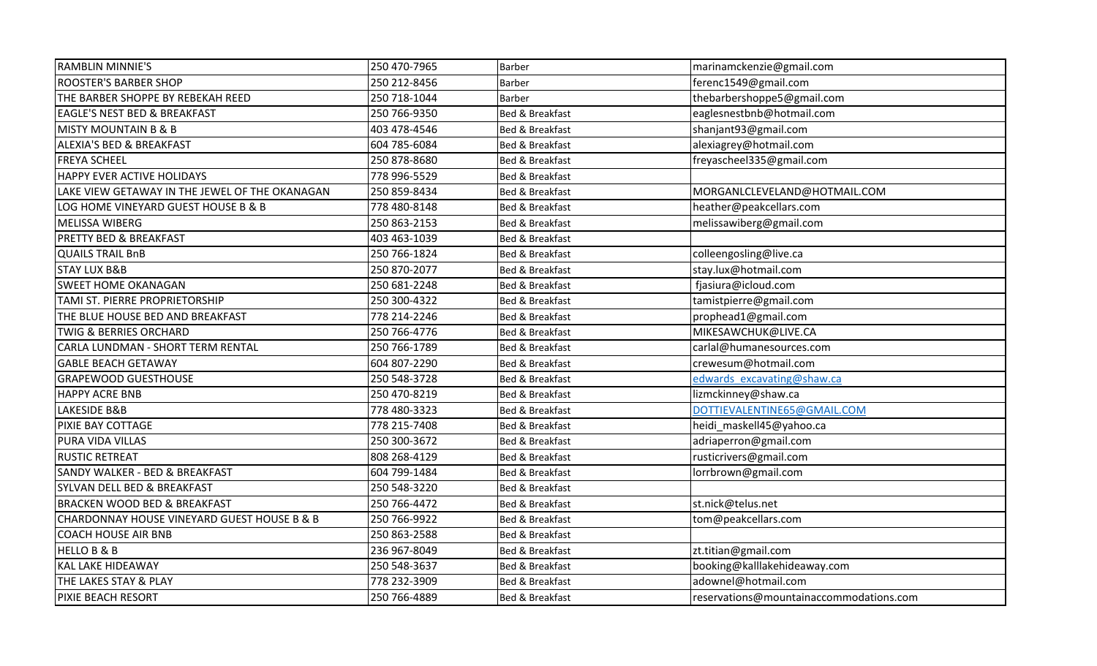| <b>RAMBLIN MINNIE'S</b>                        | 250 470-7965 | <b>Barber</b>              | marinamckenzie@gmail.com                |
|------------------------------------------------|--------------|----------------------------|-----------------------------------------|
| <b>ROOSTER'S BARBER SHOP</b>                   | 250 212-8456 | Barber                     | ferenc1549@gmail.com                    |
| THE BARBER SHOPPE BY REBEKAH REED              | 250 718-1044 | <b>Barber</b>              | thebarbershoppe5@gmail.com              |
| <b>EAGLE'S NEST BED &amp; BREAKFAST</b>        | 250 766-9350 | <b>Bed &amp; Breakfast</b> | eaglesnestbnb@hotmail.com               |
| <b>MISTY MOUNTAIN B &amp; B</b>                | 403 478-4546 | Bed & Breakfast            | shanjant93@gmail.com                    |
| <b>ALEXIA'S BED &amp; BREAKFAST</b>            | 604 785-6084 | Bed & Breakfast            | alexiagrey@hotmail.com                  |
| <b>FREYA SCHEEL</b>                            | 250 878-8680 | <b>Bed &amp; Breakfast</b> | freyascheel335@gmail.com                |
| HAPPY EVER ACTIVE HOLIDAYS                     | 778 996-5529 | Bed & Breakfast            |                                         |
| LAKE VIEW GETAWAY IN THE JEWEL OF THE OKANAGAN | 250 859-8434 | Bed & Breakfast            | MORGANLCLEVELAND@HOTMAIL.COM            |
| LOG HOME VINEYARD GUEST HOUSE B & B            | 778 480-8148 | Bed & Breakfast            | heather@peakcellars.com                 |
| MELISSA WIBERG                                 | 250 863-2153 | <b>Bed &amp; Breakfast</b> | melissawiberg@gmail.com                 |
| <b>PRETTY BED &amp; BREAKFAST</b>              | 403 463-1039 | Bed & Breakfast            |                                         |
| <b>QUAILS TRAIL BnB</b>                        | 250 766-1824 | Bed & Breakfast            | colleengosling@live.ca                  |
| <b>STAY LUX B&amp;B</b>                        | 250 870-2077 | Bed & Breakfast            | stay.lux@hotmail.com                    |
| <b>SWEET HOME OKANAGAN</b>                     | 250 681-2248 | Bed & Breakfast            | fjasiura@icloud.com                     |
| TAMI ST. PIERRE PROPRIETORSHIP                 | 250 300-4322 | Bed & Breakfast            | tamistpierre@gmail.com                  |
| THE BLUE HOUSE BED AND BREAKFAST               | 778 214-2246 | Bed & Breakfast            | prophead1@gmail.com                     |
| <b>TWIG &amp; BERRIES ORCHARD</b>              | 250 766-4776 | <b>Bed &amp; Breakfast</b> | MIKESAWCHUK@LIVE.CA                     |
| CARLA LUNDMAN - SHORT TERM RENTAL              | 250 766-1789 | <b>Bed &amp; Breakfast</b> | carlal@humanesources.com                |
| <b>GABLE BEACH GETAWAY</b>                     | 604 807-2290 | Bed & Breakfast            | crewesum@hotmail.com                    |
| <b>GRAPEWOOD GUESTHOUSE</b>                    | 250 548-3728 | Bed & Breakfast            | edwards excavating@shaw.ca              |
| <b>HAPPY ACRE BNB</b>                          | 250 470-8219 | Bed & Breakfast            | lizmckinney@shaw.ca                     |
| LAKESIDE B&B                                   | 778 480-3323 | Bed & Breakfast            | DOTTIEVALENTINE65@GMAIL.COM             |
| PIXIE BAY COTTAGE                              | 778 215-7408 | Bed & Breakfast            | heidi_maskell45@yahoo.ca                |
| PURA VIDA VILLAS                               | 250 300-3672 | Bed & Breakfast            | adriaperron@gmail.com                   |
| <b>RUSTIC RETREAT</b>                          | 808 268-4129 | Bed & Breakfast            | rusticrivers@gmail.com                  |
| SANDY WALKER - BED & BREAKFAST                 | 604 799-1484 | Bed & Breakfast            | lorrbrown@gmail.com                     |
| SYLVAN DELL BED & BREAKFAST                    | 250 548-3220 | Bed & Breakfast            |                                         |
| <b>BRACKEN WOOD BED &amp; BREAKFAST</b>        | 250 766-4472 | Bed & Breakfast            | st.nick@telus.net                       |
| CHARDONNAY HOUSE VINEYARD GUEST HOUSE B & B    | 250 766-9922 | Bed & Breakfast            | tom@peakcellars.com                     |
| <b>COACH HOUSE AIR BNB</b>                     | 250 863-2588 | Bed & Breakfast            |                                         |
| <b>HELLO B &amp; B</b>                         | 236 967-8049 | Bed & Breakfast            | zt.titian@gmail.com                     |
| <b>KAL LAKE HIDEAWAY</b>                       | 250 548-3637 | <b>Bed &amp; Breakfast</b> | booking@kalllakehideaway.com            |
| THE LAKES STAY & PLAY                          | 778 232-3909 | Bed & Breakfast            | adownel@hotmail.com                     |
| PIXIE BEACH RESORT                             | 250 766-4889 | Bed & Breakfast            | reservations@mountainaccommodations.com |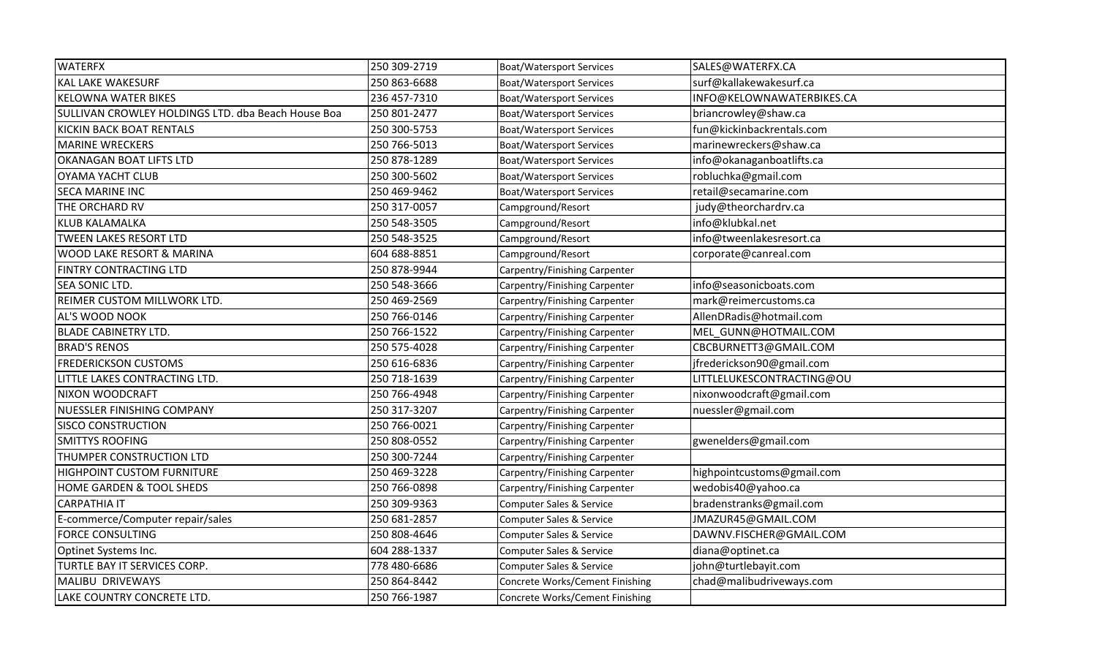| <b>WATERFX</b>                                     | 250 309-2719 | <b>Boat/Watersport Services</b>     | SALES@WATERFX.CA           |
|----------------------------------------------------|--------------|-------------------------------------|----------------------------|
| <b>KAL LAKE WAKESURF</b>                           | 250 863-6688 | <b>Boat/Watersport Services</b>     | surf@kallakewakesurf.ca    |
| <b>KELOWNA WATER BIKES</b>                         | 236 457-7310 | <b>Boat/Watersport Services</b>     | INFO@KELOWNAWATERBIKES.CA  |
| SULLIVAN CROWLEY HOLDINGS LTD. dba Beach House Boa | 250 801-2477 | <b>Boat/Watersport Services</b>     | briancrowley@shaw.ca       |
| <b>KICKIN BACK BOAT RENTALS</b>                    | 250 300-5753 | <b>Boat/Watersport Services</b>     | fun@kickinbackrentals.com  |
| <b>MARINE WRECKERS</b>                             | 250 766-5013 | <b>Boat/Watersport Services</b>     | marinewreckers@shaw.ca     |
| <b>OKANAGAN BOAT LIFTS LTD</b>                     | 250 878-1289 | <b>Boat/Watersport Services</b>     | info@okanaganboatlifts.ca  |
| <b>OYAMA YACHT CLUB</b>                            | 250 300-5602 | <b>Boat/Watersport Services</b>     | robluchka@gmail.com        |
| <b>SECA MARINE INC</b>                             | 250 469-9462 | <b>Boat/Watersport Services</b>     | retail@secamarine.com      |
| THE ORCHARD RV                                     | 250 317-0057 | Campground/Resort                   | judy@theorchardrv.ca       |
| <b>KLUB KALAMALKA</b>                              | 250 548-3505 | Campground/Resort                   | info@klubkal.net           |
| <b>TWEEN LAKES RESORT LTD</b>                      | 250 548-3525 | Campground/Resort                   | info@tweenlakesresort.ca   |
| <b>WOOD LAKE RESORT &amp; MARINA</b>               | 604 688-8851 | Campground/Resort                   | corporate@canreal.com      |
| <b>FINTRY CONTRACTING LTD</b>                      | 250 878-9944 | Carpentry/Finishing Carpenter       |                            |
| <b>SEA SONIC LTD.</b>                              | 250 548-3666 | Carpentry/Finishing Carpenter       | info@seasonicboats.com     |
| <b>REIMER CUSTOM MILLWORK LTD.</b>                 | 250 469-2569 | Carpentry/Finishing Carpenter       | mark@reimercustoms.ca      |
| <b>AL'S WOOD NOOK</b>                              | 250 766-0146 | Carpentry/Finishing Carpenter       | AllenDRadis@hotmail.com    |
| <b>BLADE CABINETRY LTD.</b>                        | 250 766-1522 | Carpentry/Finishing Carpenter       | MEL_GUNN@HOTMAIL.COM       |
| <b>BRAD'S RENOS</b>                                | 250 575-4028 | Carpentry/Finishing Carpenter       | CBCBURNETT3@GMAIL.COM      |
| <b>FREDERICKSON CUSTOMS</b>                        | 250 616-6836 | Carpentry/Finishing Carpenter       | jfrederickson90@gmail.com  |
| LITTLE LAKES CONTRACTING LTD.                      | 250 718-1639 | Carpentry/Finishing Carpenter       | LITTLELUKESCONTRACTING@OU  |
| <b>NIXON WOODCRAFT</b>                             | 250 766-4948 | Carpentry/Finishing Carpenter       | nixonwoodcraft@gmail.com   |
| <b>NUESSLER FINISHING COMPANY</b>                  | 250 317-3207 | Carpentry/Finishing Carpenter       | nuessler@gmail.com         |
| <b>SISCO CONSTRUCTION</b>                          | 250 766-0021 | Carpentry/Finishing Carpenter       |                            |
| <b>SMITTYS ROOFING</b>                             | 250 808-0552 | Carpentry/Finishing Carpenter       | gwenelders@gmail.com       |
| THUMPER CONSTRUCTION LTD                           | 250 300-7244 | Carpentry/Finishing Carpenter       |                            |
| <b>HIGHPOINT CUSTOM FURNITURE</b>                  | 250 469-3228 | Carpentry/Finishing Carpenter       | highpointcustoms@gmail.com |
| HOME GARDEN & TOOL SHEDS                           | 250 766-0898 | Carpentry/Finishing Carpenter       | wedobis40@yahoo.ca         |
| <b>CARPATHIA IT</b>                                | 250 309-9363 | <b>Computer Sales &amp; Service</b> | bradenstranks@gmail.com    |
| E-commerce/Computer repair/sales                   | 250 681-2857 | Computer Sales & Service            | JMAZUR45@GMAIL.COM         |
| <b>FORCE CONSULTING</b>                            | 250 808-4646 | Computer Sales & Service            | DAWNV.FISCHER@GMAIL.COM    |
| Optinet Systems Inc.                               | 604 288-1337 | Computer Sales & Service            | diana@optinet.ca           |
| TURTLE BAY IT SERVICES CORP.                       | 778 480-6686 | Computer Sales & Service            | john@turtlebayit.com       |
| MALIBU DRIVEWAYS                                   | 250 864-8442 | Concrete Works/Cement Finishing     | chad@malibudriveways.com   |
| LAKE COUNTRY CONCRETE LTD.                         | 250 766-1987 | Concrete Works/Cement Finishing     |                            |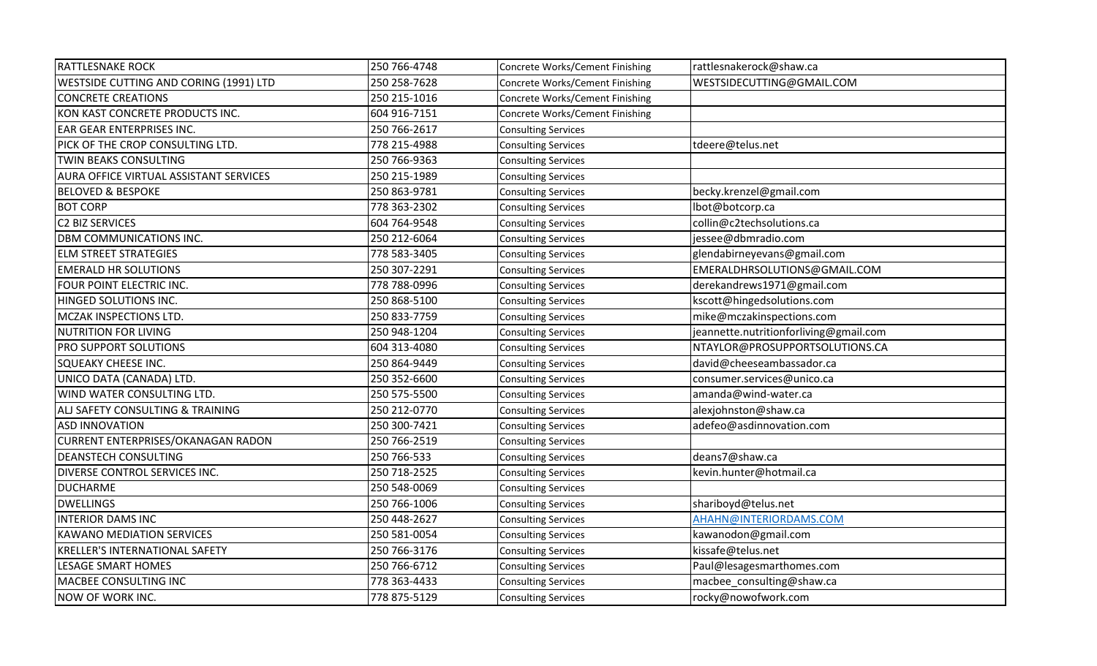| <b>RATTLESNAKE ROCK</b>                       | 250 766-4748 | Concrete Works/Cement Finishing | rattlesnakerock@shaw.ca                |
|-----------------------------------------------|--------------|---------------------------------|----------------------------------------|
| WESTSIDE CUTTING AND CORING (1991) LTD        | 250 258-7628 | Concrete Works/Cement Finishing | WESTSIDECUTTING@GMAIL.COM              |
| <b>CONCRETE CREATIONS</b>                     | 250 215-1016 | Concrete Works/Cement Finishing |                                        |
| KON KAST CONCRETE PRODUCTS INC.               | 604 916-7151 | Concrete Works/Cement Finishing |                                        |
| EAR GEAR ENTERPRISES INC.                     | 250 766-2617 | <b>Consulting Services</b>      |                                        |
| PICK OF THE CROP CONSULTING LTD.              | 778 215-4988 | <b>Consulting Services</b>      | tdeere@telus.net                       |
| <b>TWIN BEAKS CONSULTING</b>                  | 250 766-9363 | <b>Consulting Services</b>      |                                        |
| <b>AURA OFFICE VIRTUAL ASSISTANT SERVICES</b> | 250 215-1989 | <b>Consulting Services</b>      |                                        |
| <b>BELOVED &amp; BESPOKE</b>                  | 250 863-9781 | <b>Consulting Services</b>      | becky.krenzel@gmail.com                |
| <b>BOT CORP</b>                               | 778 363-2302 | <b>Consulting Services</b>      | lbot@botcorp.ca                        |
| C2 BIZ SERVICES                               | 604 764-9548 | <b>Consulting Services</b>      | collin@c2techsolutions.ca              |
| DBM COMMUNICATIONS INC.                       | 250 212-6064 | <b>Consulting Services</b>      | jessee@dbmradio.com                    |
| <b>ELM STREET STRATEGIES</b>                  | 778 583-3405 | <b>Consulting Services</b>      | glendabirneyevans@gmail.com            |
| <b>EMERALD HR SOLUTIONS</b>                   | 250 307-2291 | <b>Consulting Services</b>      | EMERALDHRSOLUTIONS@GMAIL.COM           |
| FOUR POINT ELECTRIC INC.                      | 778 788-0996 | <b>Consulting Services</b>      | derekandrews1971@gmail.com             |
| HINGED SOLUTIONS INC.                         | 250 868-5100 | <b>Consulting Services</b>      | kscott@hingedsolutions.com             |
| MCZAK INSPECTIONS LTD.                        | 250 833-7759 | <b>Consulting Services</b>      | mike@mczakinspections.com              |
| NUTRITION FOR LIVING                          | 250 948-1204 | <b>Consulting Services</b>      | jeannette.nutritionforliving@gmail.com |
| PRO SUPPORT SOLUTIONS                         | 604 313-4080 | <b>Consulting Services</b>      | NTAYLOR@PROSUPPORTSOLUTIONS.CA         |
| <b>SQUEAKY CHEESE INC.</b>                    | 250 864-9449 | <b>Consulting Services</b>      | david@cheeseambassador.ca              |
| UNICO DATA (CANADA) LTD.                      | 250 352-6600 | <b>Consulting Services</b>      | consumer.services@unico.ca             |
| WIND WATER CONSULTING LTD.                    | 250 575-5500 | <b>Consulting Services</b>      | amanda@wind-water.ca                   |
| ALJ SAFETY CONSULTING & TRAINING              | 250 212-0770 | <b>Consulting Services</b>      | alexjohnston@shaw.ca                   |
| <b>ASD INNOVATION</b>                         | 250 300-7421 | <b>Consulting Services</b>      | adefeo@asdinnovation.com               |
| <b>CURRENT ENTERPRISES/OKANAGAN RADON</b>     | 250 766-2519 | <b>Consulting Services</b>      |                                        |
| <b>DEANSTECH CONSULTING</b>                   | 250 766-533  | <b>Consulting Services</b>      | deans7@shaw.ca                         |
| DIVERSE CONTROL SERVICES INC.                 | 250 718-2525 | <b>Consulting Services</b>      | kevin.hunter@hotmail.ca                |
| <b>DUCHARME</b>                               | 250 548-0069 | <b>Consulting Services</b>      |                                        |
| <b>DWELLINGS</b>                              | 250 766-1006 | <b>Consulting Services</b>      | shariboyd@telus.net                    |
| <b>INTERIOR DAMS INC</b>                      | 250 448-2627 | <b>Consulting Services</b>      | AHAHN@INTERIORDAMS.COM                 |
| <b>KAWANO MEDIATION SERVICES</b>              | 250 581-0054 | <b>Consulting Services</b>      | kawanodon@gmail.com                    |
| <b>KRELLER'S INTERNATIONAL SAFETY</b>         | 250 766-3176 | <b>Consulting Services</b>      | kissafe@telus.net                      |
| LESAGE SMART HOMES                            | 250 766-6712 | <b>Consulting Services</b>      | Paul@lesagesmarthomes.com              |
| MACBEE CONSULTING INC                         | 778 363-4433 | <b>Consulting Services</b>      | macbee_consulting@shaw.ca              |
| <b>NOW OF WORK INC.</b>                       | 778 875-5129 | <b>Consulting Services</b>      | rocky@nowofwork.com                    |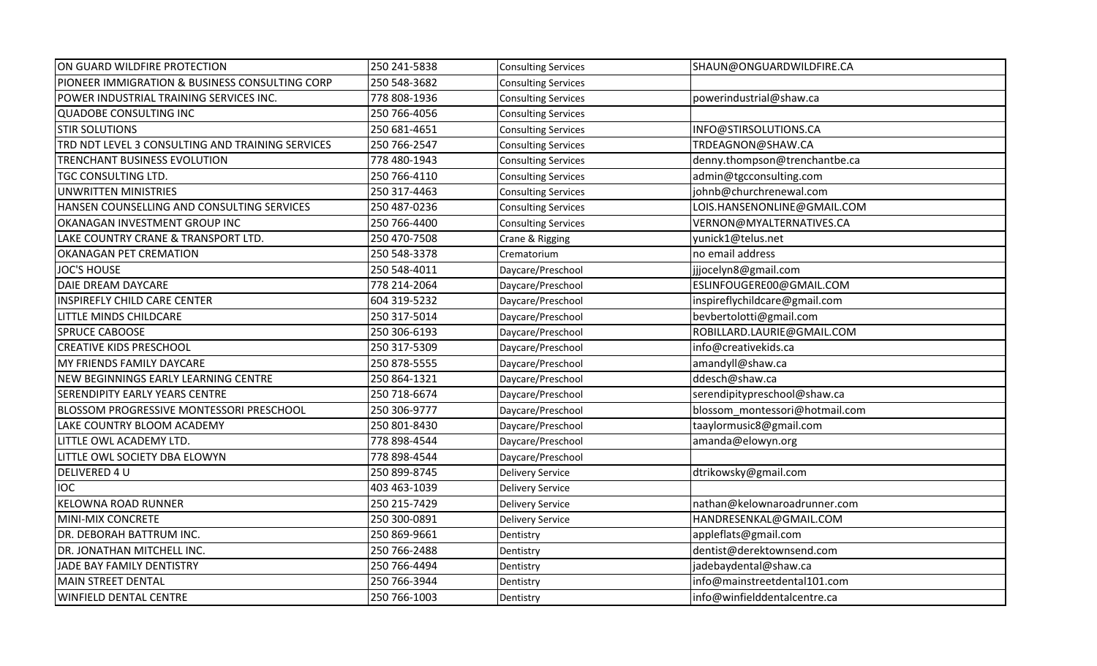| ON GUARD WILDFIRE PROTECTION                     | 250 241-5838 | <b>Consulting Services</b> | SHAUN@ONGUARDWILDFIRE.CA       |
|--------------------------------------------------|--------------|----------------------------|--------------------------------|
| PIONEER IMMIGRATION & BUSINESS CONSULTING CORP   | 250 548-3682 | <b>Consulting Services</b> |                                |
| POWER INDUSTRIAL TRAINING SERVICES INC.          | 778 808-1936 | <b>Consulting Services</b> | powerindustrial@shaw.ca        |
| QUADOBE CONSULTING INC                           | 250 766-4056 | <b>Consulting Services</b> |                                |
| <b>STIR SOLUTIONS</b>                            | 250 681-4651 | <b>Consulting Services</b> | INFO@STIRSOLUTIONS.CA          |
| TRD NDT LEVEL 3 CONSULTING AND TRAINING SERVICES | 250 766-2547 | <b>Consulting Services</b> | TRDEAGNON@SHAW.CA              |
| TRENCHANT BUSINESS EVOLUTION                     | 778 480-1943 | <b>Consulting Services</b> | denny.thompson@trenchantbe.ca  |
| TGC CONSULTING LTD.                              | 250 766-4110 | <b>Consulting Services</b> | admin@tgcconsulting.com        |
| UNWRITTEN MINISTRIES                             | 250 317-4463 | <b>Consulting Services</b> | johnb@churchrenewal.com        |
| HANSEN COUNSELLING AND CONSULTING SERVICES       | 250 487-0236 | <b>Consulting Services</b> | LOIS.HANSENONLINE@GMAIL.COM    |
| OKANAGAN INVESTMENT GROUP INC                    | 250 766-4400 | <b>Consulting Services</b> | VERNON@MYALTERNATIVES.CA       |
| LAKE COUNTRY CRANE & TRANSPORT LTD.              | 250 470-7508 | Crane & Rigging            | yunick1@telus.net              |
| <b>OKANAGAN PET CREMATION</b>                    | 250 548-3378 | Crematorium                | no email address               |
| JOC'S HOUSE                                      | 250 548-4011 | Daycare/Preschool          | jjjocelyn8@gmail.com           |
| DAIE DREAM DAYCARE                               | 778 214-2064 | Daycare/Preschool          | ESLINFOUGERE00@GMAIL.COM       |
| <b>INSPIREFLY CHILD CARE CENTER</b>              | 604 319-5232 | Daycare/Preschool          | inspireflychildcare@gmail.com  |
| LITTLE MINDS CHILDCARE                           | 250 317-5014 | Daycare/Preschool          | bevbertolotti@gmail.com        |
| <b>SPRUCE CABOOSE</b>                            | 250 306-6193 | Daycare/Preschool          | ROBILLARD.LAURIE@GMAIL.COM     |
| <b>CREATIVE KIDS PRESCHOOL</b>                   | 250 317-5309 | Daycare/Preschool          | info@creativekids.ca           |
| MY FRIENDS FAMILY DAYCARE                        | 250 878-5555 | Daycare/Preschool          | amandyll@shaw.ca               |
| NEW BEGINNINGS EARLY LEARNING CENTRE             | 250 864-1321 | Daycare/Preschool          | ddesch@shaw.ca                 |
| <b>SERENDIPITY EARLY YEARS CENTRE</b>            | 250 718-6674 | Daycare/Preschool          | serendipitypreschool@shaw.ca   |
| <b>BLOSSOM PROGRESSIVE MONTESSORI PRESCHOOL</b>  | 250 306-9777 | Daycare/Preschool          | blossom montessori@hotmail.com |
| LAKE COUNTRY BLOOM ACADEMY                       | 250 801-8430 | Daycare/Preschool          | taaylormusic8@gmail.com        |
| LITTLE OWL ACADEMY LTD.                          | 778 898-4544 | Daycare/Preschool          | amanda@elowyn.org              |
| LITTLE OWL SOCIETY DBA ELOWYN                    | 778 898-4544 | Daycare/Preschool          |                                |
| DELIVERED 4 U                                    | 250 899-8745 | <b>Delivery Service</b>    | dtrikowsky@gmail.com           |
| <b>IOC</b>                                       | 403 463-1039 | <b>Delivery Service</b>    |                                |
| <b>KELOWNA ROAD RUNNER</b>                       | 250 215-7429 | <b>Delivery Service</b>    | nathan@kelownaroadrunner.com   |
| MINI-MIX CONCRETE                                | 250 300-0891 | <b>Delivery Service</b>    | HANDRESENKAL@GMAIL.COM         |
| DR. DEBORAH BATTRUM INC.                         | 250 869-9661 | Dentistry                  | appleflats@gmail.com           |
| DR. JONATHAN MITCHELL INC.                       | 250 766-2488 | Dentistry                  | dentist@derektownsend.com      |
| JADE BAY FAMILY DENTISTRY                        | 250 766-4494 | Dentistry                  | jadebaydental@shaw.ca          |
| MAIN STREET DENTAL                               | 250 766-3944 | Dentistry                  | info@mainstreetdental101.com   |
| <b>WINFIELD DENTAL CENTRE</b>                    | 250 766-1003 | Dentistry                  | info@winfielddentalcentre.ca   |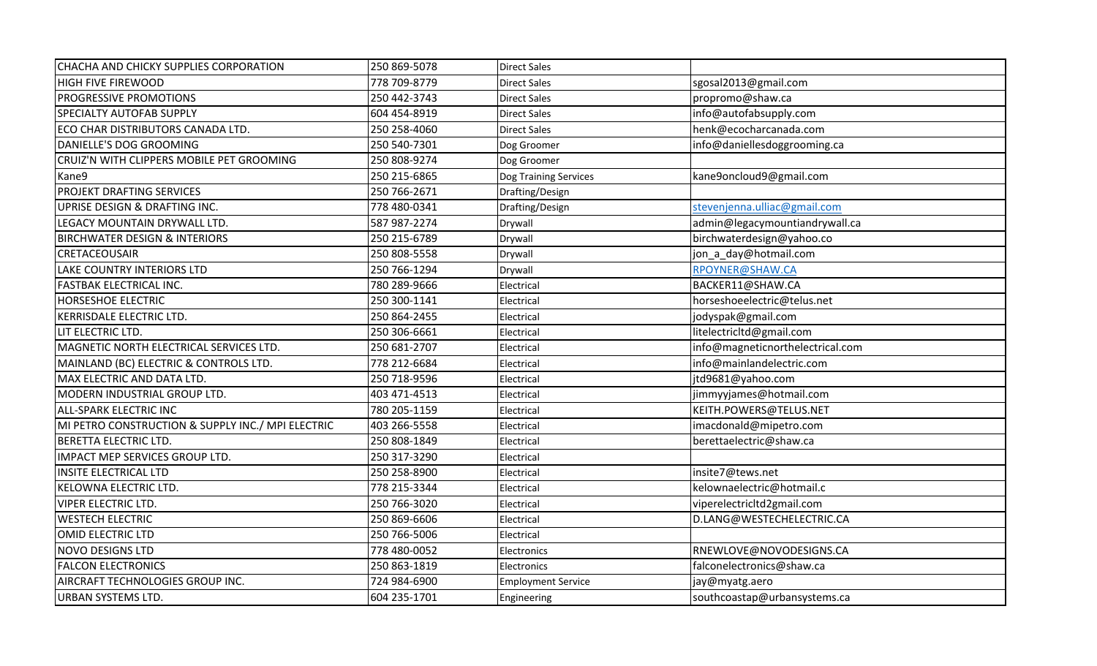| CHACHA AND CHICKY SUPPLIES CORPORATION            | 250 869-5078 | <b>Direct Sales</b>       |                                  |
|---------------------------------------------------|--------------|---------------------------|----------------------------------|
| <b>HIGH FIVE FIREWOOD</b>                         | 778 709-8779 | <b>Direct Sales</b>       | sgosal2013@gmail.com             |
| PROGRESSIVE PROMOTIONS                            | 250 442-3743 | <b>Direct Sales</b>       | propromo@shaw.ca                 |
| <b>SPECIALTY AUTOFAB SUPPLY</b>                   | 604 454-8919 | <b>Direct Sales</b>       | info@autofabsupply.com           |
| ECO CHAR DISTRIBUTORS CANADA LTD.                 | 250 258-4060 | <b>Direct Sales</b>       | henk@ecocharcanada.com           |
| DANIELLE'S DOG GROOMING                           | 250 540-7301 | Dog Groomer               | info@daniellesdoggrooming.ca     |
| CRUIZ'N WITH CLIPPERS MOBILE PET GROOMING         | 250 808-9274 | Dog Groomer               |                                  |
| Kane9                                             | 250 215-6865 | Dog Training Services     | kane9oncloud9@gmail.com          |
| PROJEKT DRAFTING SERVICES                         | 250 766-2671 | Drafting/Design           |                                  |
| UPRISE DESIGN & DRAFTING INC.                     | 778 480-0341 | Drafting/Design           | stevenjenna.ulliac@gmail.com     |
| LEGACY MOUNTAIN DRYWALL LTD.                      | 587 987-2274 | Drywall                   | admin@legacymountiandrywall.ca   |
| <b>BIRCHWATER DESIGN &amp; INTERIORS</b>          | 250 215-6789 | Drywall                   | birchwaterdesign@yahoo.co        |
| <b>CRETACEOUSAIR</b>                              | 250 808-5558 | Drywall                   | jon_a_day@hotmail.com            |
| <b>LAKE COUNTRY INTERIORS LTD</b>                 | 250 766-1294 | Drywall                   | RPOYNER@SHAW.CA                  |
| <b>FASTBAK ELECTRICAL INC.</b>                    | 780 289-9666 | Electrical                | BACKER11@SHAW.CA                 |
| <b>HORSESHOE ELECTRIC</b>                         | 250 300-1141 | Electrical                | horseshoeelectric@telus.net      |
| KERRISDALE ELECTRIC LTD.                          | 250 864-2455 | Electrical                | jodyspak@gmail.com               |
| LIT ELECTRIC LTD.                                 | 250 306-6661 | Electrical                | litelectricitd@gmail.com         |
| MAGNETIC NORTH ELECTRICAL SERVICES LTD.           | 250 681-2707 | Electrical                | info@magneticnorthelectrical.com |
| MAINLAND (BC) ELECTRIC & CONTROLS LTD.            | 778 212-6684 | Electrical                | info@mainlandelectric.com        |
| MAX ELECTRIC AND DATA LTD.                        | 250 718-9596 | Electrical                | jtd9681@yahoo.com                |
| MODERN INDUSTRIAL GROUP LTD.                      | 403 471-4513 | Electrical                | jimmyyjames@hotmail.com          |
| <b>ALL-SPARK ELECTRIC INC</b>                     | 780 205-1159 | Electrical                | KEITH.POWERS@TELUS.NET           |
| MI PETRO CONSTRUCTION & SUPPLY INC./ MPI ELECTRIC | 403 266-5558 | Electrical                | imacdonald@mipetro.com           |
| <b>BERETTA ELECTRIC LTD.</b>                      | 250 808-1849 | Electrical                | berettaelectric@shaw.ca          |
| IMPACT MEP SERVICES GROUP LTD.                    | 250 317-3290 | Electrical                |                                  |
| <b>INSITE ELECTRICAL LTD</b>                      | 250 258-8900 | Electrical                | insite7@tews.net                 |
| <b>KELOWNA ELECTRIC LTD.</b>                      | 778 215-3344 | Electrical                | kelownaelectric@hotmail.c        |
| <b>VIPER ELECTRIC LTD.</b>                        | 250 766-3020 | Electrical                | viperelectricitd2gmail.com       |
| <b>WESTECH ELECTRIC</b>                           | 250 869-6606 | Electrical                | D.LANG@WESTECHELECTRIC.CA        |
| <b>OMID ELECTRIC LTD</b>                          | 250 766-5006 | Electrical                |                                  |
| NOVO DESIGNS LTD                                  | 778 480-0052 | Electronics               | RNEWLOVE@NOVODESIGNS.CA          |
| <b>FALCON ELECTRONICS</b>                         | 250 863-1819 | Electronics               | falconelectronics@shaw.ca        |
| AIRCRAFT TECHNOLOGIES GROUP INC.                  | 724 984-6900 | <b>Employment Service</b> | jay@myatg.aero                   |
| <b>URBAN SYSTEMS LTD.</b>                         | 604 235-1701 | Engineering               | southcoastap@urbansystems.ca     |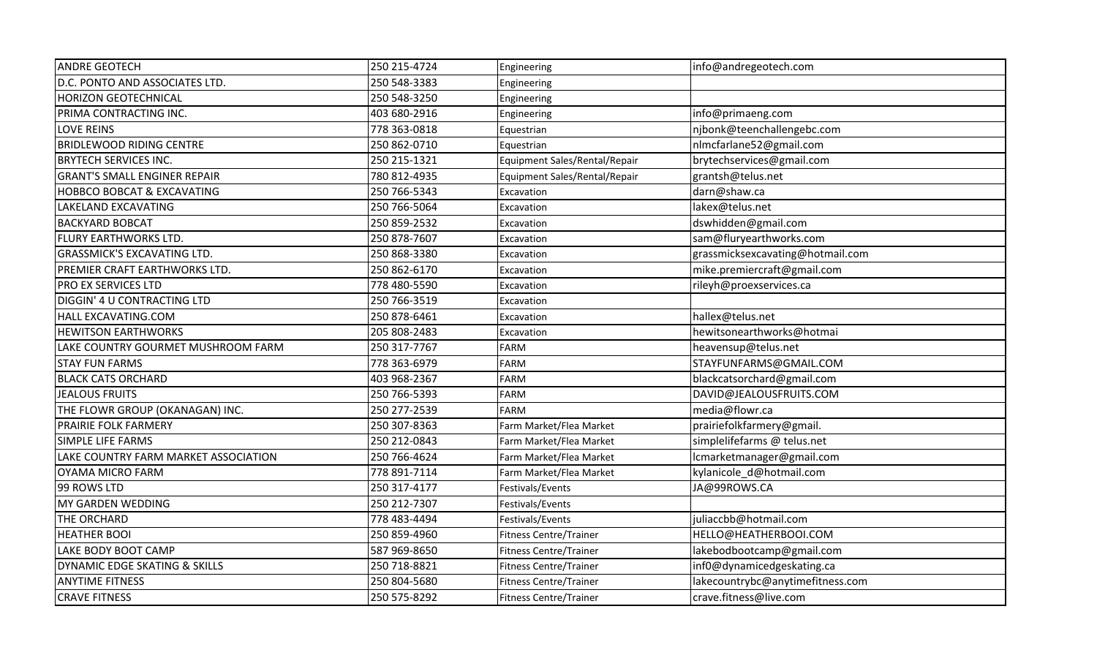| <b>ANDRE GEOTECH</b>                 | 250 215-4724 | Engineering                   | info@andregeotech.com            |
|--------------------------------------|--------------|-------------------------------|----------------------------------|
| D.C. PONTO AND ASSOCIATES LTD.       | 250 548-3383 | Engineering                   |                                  |
| <b>HORIZON GEOTECHNICAL</b>          | 250 548-3250 | Engineering                   |                                  |
| PRIMA CONTRACTING INC.               | 403 680-2916 | Engineering                   | info@primaeng.com                |
| <b>LOVE REINS</b>                    | 778 363-0818 | Equestrian                    | njbonk@teenchallengebc.com       |
| <b>BRIDLEWOOD RIDING CENTRE</b>      | 250 862-0710 | Equestrian                    | nlmcfarlane52@gmail.com          |
| <b>BRYTECH SERVICES INC.</b>         | 250 215-1321 | Equipment Sales/Rental/Repair | brytechservices@gmail.com        |
| <b>GRANT'S SMALL ENGINER REPAIR</b>  | 780 812-4935 | Equipment Sales/Rental/Repair | grantsh@telus.net                |
| HOBBCO BOBCAT & EXCAVATING           | 250 766-5343 | Excavation                    | darn@shaw.ca                     |
| LAKELAND EXCAVATING                  | 250 766-5064 | Excavation                    | lakex@telus.net                  |
| <b>BACKYARD BOBCAT</b>               | 250 859-2532 | Excavation                    | dswhidden@gmail.com              |
| FLURY EARTHWORKS LTD.                | 250 878-7607 | Excavation                    | sam@fluryearthworks.com          |
| <b>GRASSMICK'S EXCAVATING LTD.</b>   | 250 868-3380 | Excavation                    | grassmicksexcavating@hotmail.com |
| PREMIER CRAFT EARTHWORKS LTD.        | 250 862-6170 | Excavation                    | mike.premiercraft@gmail.com      |
| PRO EX SERVICES LTD                  | 778 480-5590 | Excavation                    | rileyh@proexservices.ca          |
| DIGGIN' 4 U CONTRACTING LTD          | 250 766-3519 | Excavation                    |                                  |
| HALL EXCAVATING.COM                  | 250 878-6461 | Excavation                    | hallex@telus.net                 |
| <b>HEWITSON EARTHWORKS</b>           | 205 808-2483 | Excavation                    | hewitsonearthworks@hotmai        |
| LAKE COUNTRY GOURMET MUSHROOM FARM   | 250 317-7767 | <b>FARM</b>                   | heavensup@telus.net              |
| <b>STAY FUN FARMS</b>                | 778 363-6979 | <b>FARM</b>                   | STAYFUNFARMS@GMAIL.COM           |
| <b>BLACK CATS ORCHARD</b>            | 403 968-2367 | <b>FARM</b>                   | blackcatsorchard@gmail.com       |
| <b>JEALOUS FRUITS</b>                | 250 766-5393 | <b>FARM</b>                   | DAVID@JEALOUSFRUITS.COM          |
| THE FLOWR GROUP (OKANAGAN) INC.      | 250 277-2539 | <b>FARM</b>                   | media@flowr.ca                   |
| PRAIRIE FOLK FARMERY                 | 250 307-8363 | Farm Market/Flea Market       | prairiefolkfarmery@gmail.        |
| <b>SIMPLE LIFE FARMS</b>             | 250 212-0843 | Farm Market/Flea Market       | simplelifefarms @ telus.net      |
| LAKE COUNTRY FARM MARKET ASSOCIATION | 250 766-4624 | Farm Market/Flea Market       | lcmarketmanager@gmail.com        |
| OYAMA MICRO FARM                     | 778 891-7114 | Farm Market/Flea Market       | kylanicole_d@hotmail.com         |
| 99 ROWS LTD                          | 250 317-4177 | Festivals/Events              | JA@99ROWS.CA                     |
| MY GARDEN WEDDING                    | 250 212-7307 | Festivals/Events              |                                  |
| THE ORCHARD                          | 778 483-4494 | Festivals/Events              | juliaccbb@hotmail.com            |
| <b>HEATHER BOOI</b>                  | 250 859-4960 | Fitness Centre/Trainer        | HELLO@HEATHERBOOI.COM            |
| LAKE BODY BOOT CAMP                  | 587 969-8650 | <b>Fitness Centre/Trainer</b> | lakebodbootcamp@gmail.com        |
| DYNAMIC EDGE SKATING & SKILLS        | 250 718-8821 | <b>Fitness Centre/Trainer</b> | inf0@dynamicedgeskating.ca       |
| <b>ANYTIME FITNESS</b>               | 250 804-5680 | <b>Fitness Centre/Trainer</b> | lakecountrybc@anytimefitness.com |
| <b>CRAVE FITNESS</b>                 | 250 575-8292 | <b>Fitness Centre/Trainer</b> | crave.fitness@live.com           |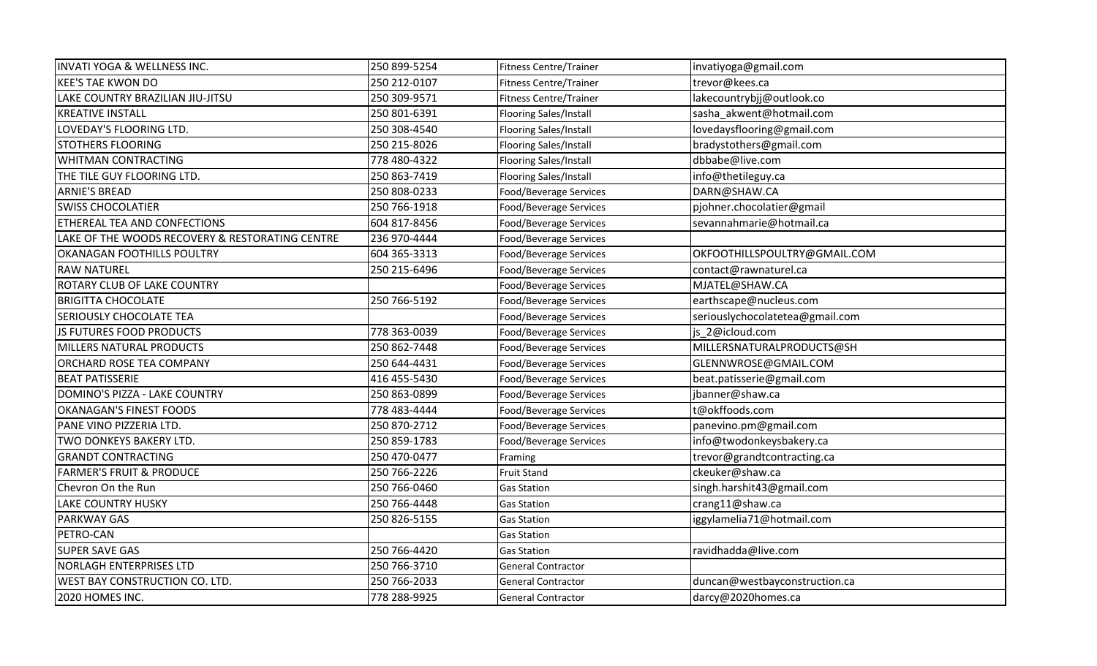| <b>INVATI YOGA &amp; WELLNESS INC.</b>          | 250 899-5254 | <b>Fitness Centre/Trainer</b> | invatiyoga@gmail.com            |
|-------------------------------------------------|--------------|-------------------------------|---------------------------------|
| <b>KEE'S TAE KWON DO</b>                        | 250 212-0107 | <b>Fitness Centre/Trainer</b> | trevor@kees.ca                  |
| LAKE COUNTRY BRAZILIAN JIU-JITSU                | 250 309-9571 | <b>Fitness Centre/Trainer</b> | lakecountrybjj@outlook.co       |
| <b>KREATIVE INSTALL</b>                         | 250 801-6391 | Flooring Sales/Install        | sasha_akwent@hotmail.com        |
| LOVEDAY'S FLOORING LTD.                         | 250 308-4540 | <b>Flooring Sales/Install</b> | lovedaysflooring@gmail.com      |
| <b>STOTHERS FLOORING</b>                        | 250 215-8026 | <b>Flooring Sales/Install</b> | bradystothers@gmail.com         |
| <b>WHITMAN CONTRACTING</b>                      | 778 480-4322 | Flooring Sales/Install        | dbbabe@live.com                 |
| THE TILE GUY FLOORING LTD.                      | 250 863-7419 | Flooring Sales/Install        | info@thetileguy.ca              |
| <b>ARNIE'S BREAD</b>                            | 250 808-0233 | Food/Beverage Services        | DARN@SHAW.CA                    |
| <b>SWISS CHOCOLATIER</b>                        | 250 766-1918 | Food/Beverage Services        | pjohner.chocolatier@gmail       |
| <b>ETHEREAL TEA AND CONFECTIONS</b>             | 604 817-8456 | Food/Beverage Services        | sevannahmarie@hotmail.ca        |
| LAKE OF THE WOODS RECOVERY & RESTORATING CENTRE | 236 970-4444 | Food/Beverage Services        |                                 |
| <b>OKANAGAN FOOTHILLS POULTRY</b>               | 604 365-3313 | Food/Beverage Services        | OKFOOTHILLSPOULTRY@GMAIL.COM    |
| <b>RAW NATUREL</b>                              | 250 215-6496 | Food/Beverage Services        | contact@rawnaturel.ca           |
| <b>ROTARY CLUB OF LAKE COUNTRY</b>              |              | Food/Beverage Services        | MJATEL@SHAW.CA                  |
| <b>BRIGITTA CHOCOLATE</b>                       | 250 766-5192 | Food/Beverage Services        | earthscape@nucleus.com          |
| <b>SERIOUSLY CHOCOLATE TEA</b>                  |              | Food/Beverage Services        | seriouslychocolatetea@gmail.com |
| <b>JS FUTURES FOOD PRODUCTS</b>                 | 778 363-0039 | Food/Beverage Services        | js_2@icloud.com                 |
| MILLERS NATURAL PRODUCTS                        | 250 862-7448 | Food/Beverage Services        | MILLERSNATURALPRODUCTS@SH       |
| ORCHARD ROSE TEA COMPANY                        | 250 644-4431 | Food/Beverage Services        | GLENNWROSE@GMAIL.COM            |
| <b>BEAT PATISSERIE</b>                          | 416 455-5430 | Food/Beverage Services        | beat.patisserie@gmail.com       |
| DOMINO'S PIZZA - LAKE COUNTRY                   | 250 863-0899 | Food/Beverage Services        | jbanner@shaw.ca                 |
| <b>OKANAGAN'S FINEST FOODS</b>                  | 778 483-4444 | Food/Beverage Services        | t@okffoods.com                  |
| PANE VINO PIZZERIA LTD.                         | 250 870-2712 | Food/Beverage Services        | panevino.pm@gmail.com           |
| TWO DONKEYS BAKERY LTD.                         | 250 859-1783 | Food/Beverage Services        | info@twodonkeysbakery.ca        |
| <b>GRANDT CONTRACTING</b>                       | 250 470-0477 | Framing                       | trevor@grandtcontracting.ca     |
| <b>FARMER'S FRUIT &amp; PRODUCE</b>             | 250 766-2226 | <b>Fruit Stand</b>            | ckeuker@shaw.ca                 |
| Chevron On the Run                              | 250 766-0460 | <b>Gas Station</b>            | singh.harshit43@gmail.com       |
| <b>LAKE COUNTRY HUSKY</b>                       | 250 766-4448 | <b>Gas Station</b>            | crang11@shaw.ca                 |
| <b>PARKWAY GAS</b>                              | 250 826-5155 | <b>Gas Station</b>            | iggylamelia71@hotmail.com       |
| PETRO-CAN                                       |              | <b>Gas Station</b>            |                                 |
| <b>SUPER SAVE GAS</b>                           | 250 766-4420 | <b>Gas Station</b>            | ravidhadda@live.com             |
| <b>NORLAGH ENTERPRISES LTD</b>                  | 250 766-3710 | <b>General Contractor</b>     |                                 |
| WEST BAY CONSTRUCTION CO. LTD.                  | 250 766-2033 | <b>General Contractor</b>     | duncan@westbayconstruction.ca   |
| 2020 HOMES INC.                                 | 778 288-9925 | <b>General Contractor</b>     | darcy@2020homes.ca              |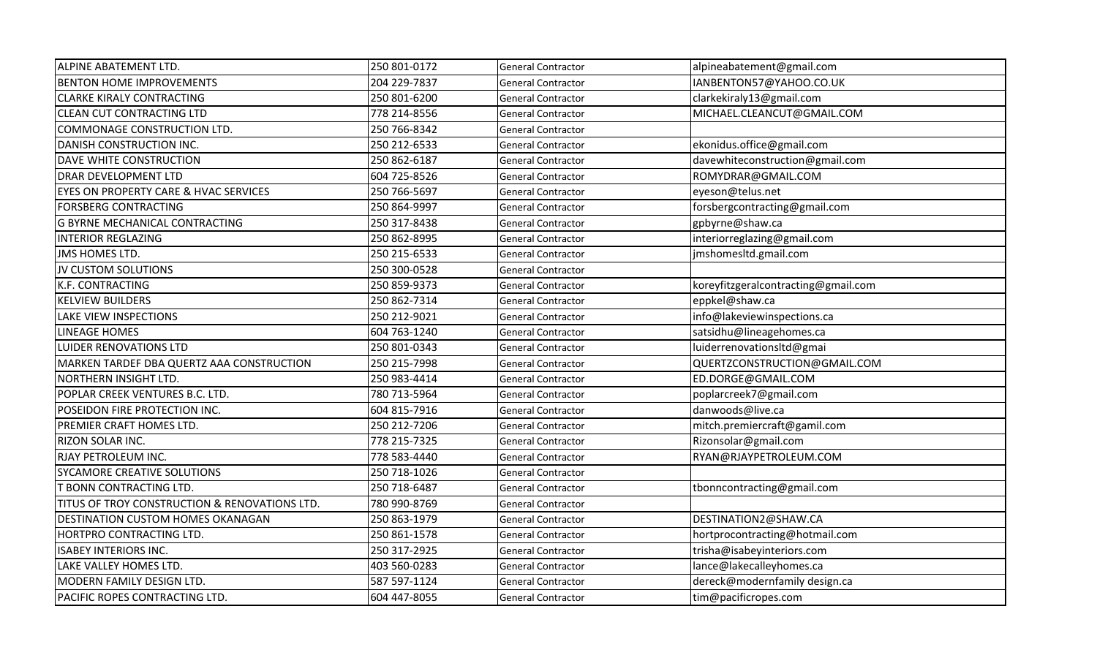| ALPINE ABATEMENT LTD.                         | 250 801-0172 | <b>General Contractor</b> | alpineabatement@gmail.com           |
|-----------------------------------------------|--------------|---------------------------|-------------------------------------|
| <b>BENTON HOME IMPROVEMENTS</b>               | 204 229-7837 | <b>General Contractor</b> | IANBENTON57@YAHOO.CO.UK             |
| <b>CLARKE KIRALY CONTRACTING</b>              | 250 801-6200 | <b>General Contractor</b> | clarkekiraly13@gmail.com            |
| <b>CLEAN CUT CONTRACTING LTD</b>              | 778 214-8556 | <b>General Contractor</b> | MICHAEL.CLEANCUT@GMAIL.COM          |
| COMMONAGE CONSTRUCTION LTD.                   | 250 766-8342 | <b>General Contractor</b> |                                     |
| DANISH CONSTRUCTION INC.                      | 250 212-6533 | <b>General Contractor</b> | ekonidus.office@gmail.com           |
| DAVE WHITE CONSTRUCTION                       | 250 862-6187 | <b>General Contractor</b> | davewhiteconstruction@gmail.com     |
| DRAR DEVELOPMENT LTD                          | 604 725-8526 | <b>General Contractor</b> | ROMYDRAR@GMAIL.COM                  |
| EYES ON PROPERTY CARE & HVAC SERVICES         | 250 766-5697 | <b>General Contractor</b> | eyeson@telus.net                    |
| FORSBERG CONTRACTING                          | 250 864-9997 | <b>General Contractor</b> | forsbergcontracting@gmail.com       |
| <b>G BYRNE MECHANICAL CONTRACTING</b>         | 250 317-8438 | <b>General Contractor</b> | gpbyrne@shaw.ca                     |
| <b>INTERIOR REGLAZING</b>                     | 250 862-8995 | <b>General Contractor</b> | interiorreglazing@gmail.com         |
| <b>JMS HOMES LTD.</b>                         | 250 215-6533 | <b>General Contractor</b> | jmshomesltd.gmail.com               |
| JV CUSTOM SOLUTIONS                           | 250 300-0528 | <b>General Contractor</b> |                                     |
| K.F. CONTRACTING                              | 250 859-9373 | <b>General Contractor</b> | koreyfitzgeralcontracting@gmail.com |
| <b>KELVIEW BUILDERS</b>                       | 250 862-7314 | <b>General Contractor</b> | eppkel@shaw.ca                      |
| LAKE VIEW INSPECTIONS                         | 250 212-9021 | <b>General Contractor</b> | info@lakeviewinspections.ca         |
| <b>LINEAGE HOMES</b>                          | 604 763-1240 | <b>General Contractor</b> | satsidhu@lineagehomes.ca            |
| <b>LUIDER RENOVATIONS LTD</b>                 | 250 801-0343 | <b>General Contractor</b> | luiderrenovationsltd@gmai           |
| MARKEN TARDEF DBA QUERTZ AAA CONSTRUCTION     | 250 215-7998 | <b>General Contractor</b> | QUERTZCONSTRUCTION@GMAIL.COM        |
| NORTHERN INSIGHT LTD.                         | 250 983-4414 | <b>General Contractor</b> | ED.DORGE@GMAIL.COM                  |
| POPLAR CREEK VENTURES B.C. LTD.               | 780 713-5964 | <b>General Contractor</b> | poplarcreek7@gmail.com              |
| POSEIDON FIRE PROTECTION INC.                 | 604 815-7916 | <b>General Contractor</b> | danwoods@live.ca                    |
| PREMIER CRAFT HOMES LTD.                      | 250 212-7206 | General Contractor        | mitch.premiercraft@gamil.com        |
| RIZON SOLAR INC.                              | 778 215-7325 | <b>General Contractor</b> | Rizonsolar@gmail.com                |
| RJAY PETROLEUM INC.                           | 778 583-4440 | <b>General Contractor</b> | RYAN@RJAYPETROLEUM.COM              |
| SYCAMORE CREATIVE SOLUTIONS                   | 250 718-1026 | <b>General Contractor</b> |                                     |
| <b>T BONN CONTRACTING LTD.</b>                | 250 718-6487 | <b>General Contractor</b> | tbonncontracting@gmail.com          |
| TITUS OF TROY CONSTRUCTION & RENOVATIONS LTD. | 780 990-8769 | <b>General Contractor</b> |                                     |
| DESTINATION CUSTOM HOMES OKANAGAN             | 250 863-1979 | <b>General Contractor</b> | DESTINATION2@SHAW.CA                |
| HORTPRO CONTRACTING LTD.                      | 250 861-1578 | <b>General Contractor</b> | hortprocontracting@hotmail.com      |
| <b>ISABEY INTERIORS INC.</b>                  | 250 317-2925 | <b>General Contractor</b> | trisha@isabeyinteriors.com          |
| LAKE VALLEY HOMES LTD.                        | 403 560-0283 | <b>General Contractor</b> | lance@lakecalleyhomes.ca            |
| MODERN FAMILY DESIGN LTD.                     | 587 597-1124 | <b>General Contractor</b> | dereck@modernfamily design.ca       |
| PACIFIC ROPES CONTRACTING LTD.                | 604 447-8055 | <b>General Contractor</b> | tim@pacificropes.com                |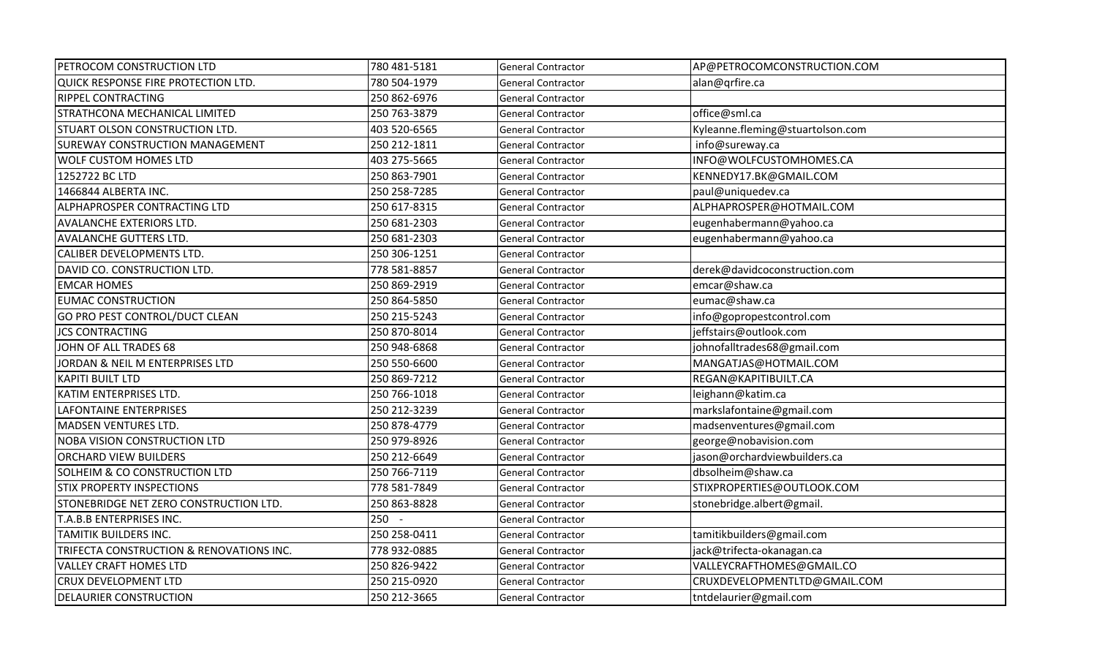| <b>PETROCOM CONSTRUCTION LTD</b>         | 780 481-5181 | General Contractor        | AP@PETROCOMCONSTRUCTION.COM      |
|------------------------------------------|--------------|---------------------------|----------------------------------|
| QUICK RESPONSE FIRE PROTECTION LTD.      | 780 504-1979 | General Contractor        | alan@qrfire.ca                   |
| <b>RIPPEL CONTRACTING</b>                | 250 862-6976 | <b>General Contractor</b> |                                  |
| STRATHCONA MECHANICAL LIMITED            | 250 763-3879 | <b>General Contractor</b> | office@sml.ca                    |
| <b>STUART OLSON CONSTRUCTION LTD.</b>    | 403 520-6565 | <b>General Contractor</b> | Kyleanne.fleming@stuartolson.com |
| <b>SUREWAY CONSTRUCTION MANAGEMENT</b>   | 250 212-1811 | <b>General Contractor</b> | info@sureway.ca                  |
| <b>WOLF CUSTOM HOMES LTD</b>             | 403 275-5665 | <b>General Contractor</b> | INFO@WOLFCUSTOMHOMES.CA          |
| 1252722 BC LTD                           | 250 863-7901 | <b>General Contractor</b> | KENNEDY17.BK@GMAIL.COM           |
| 1466844 ALBERTA INC.                     | 250 258-7285 | General Contractor        | paul@uniquedev.ca                |
| <b>ALPHAPROSPER CONTRACTING LTD</b>      | 250 617-8315 | <b>General Contractor</b> | ALPHAPROSPER@HOTMAIL.COM         |
| <b>AVALANCHE EXTERIORS LTD.</b>          | 250 681-2303 | <b>General Contractor</b> | eugenhabermann@yahoo.ca          |
| <b>AVALANCHE GUTTERS LTD.</b>            | 250 681-2303 | <b>General Contractor</b> | eugenhabermann@yahoo.ca          |
| <b>CALIBER DEVELOPMENTS LTD.</b>         | 250 306-1251 | <b>General Contractor</b> |                                  |
| DAVID CO. CONSTRUCTION LTD.              | 778 581-8857 | General Contractor        | derek@davidcoconstruction.com    |
| <b>EMCAR HOMES</b>                       | 250 869-2919 | <b>General Contractor</b> | emcar@shaw.ca                    |
| <b>EUMAC CONSTRUCTION</b>                | 250 864-5850 | General Contractor        | eumac@shaw.ca                    |
| GO PRO PEST CONTROL/DUCT CLEAN           | 250 215-5243 | <b>General Contractor</b> | info@gopropestcontrol.com        |
| <b>JCS CONTRACTING</b>                   | 250 870-8014 | <b>General Contractor</b> | jeffstairs@outlook.com           |
| JOHN OF ALL TRADES 68                    | 250 948-6868 | <b>General Contractor</b> | johnofalltrades68@gmail.com      |
| JORDAN & NEIL M ENTERPRISES LTD          | 250 550-6600 | <b>General Contractor</b> | MANGATJAS@HOTMAIL.COM            |
| <b>KAPITI BUILT LTD</b>                  | 250 869-7212 | General Contractor        | REGAN@KAPITIBUILT.CA             |
| KATIM ENTERPRISES LTD.                   | 250 766-1018 | <b>General Contractor</b> | leighann@katim.ca                |
| LAFONTAINE ENTERPRISES                   | 250 212-3239 | General Contractor        | markslafontaine@gmail.com        |
| MADSEN VENTURES LTD.                     | 250 878-4779 | General Contractor        | madsenventures@gmail.com         |
| <b>NOBA VISION CONSTRUCTION LTD</b>      | 250 979-8926 | <b>General Contractor</b> | george@nobavision.com            |
| <b>ORCHARD VIEW BUILDERS</b>             | 250 212-6649 | <b>General Contractor</b> | jason@orchardviewbuilders.ca     |
| <b>SOLHEIM &amp; CO CONSTRUCTION LTD</b> | 250 766-7119 | <b>General Contractor</b> | dbsolheim@shaw.ca                |
| <b>STIX PROPERTY INSPECTIONS</b>         | 778 581-7849 | <b>General Contractor</b> | STIXPROPERTIES@OUTLOOK.COM       |
| STONEBRIDGE NET ZERO CONSTRUCTION LTD.   | 250 863-8828 | <b>General Contractor</b> | stonebridge.albert@gmail.        |
| T.A.B.B ENTERPRISES INC.                 | $250 -$      | <b>General Contractor</b> |                                  |
| <b>TAMITIK BUILDERS INC.</b>             | 250 258-0411 | General Contractor        | tamitikbuilders@gmail.com        |
| TRIFECTA CONSTRUCTION & RENOVATIONS INC. | 778 932-0885 | <b>General Contractor</b> | jack@trifecta-okanagan.ca        |
| <b>VALLEY CRAFT HOMES LTD</b>            | 250 826-9422 | <b>General Contractor</b> | VALLEYCRAFTHOMES@GMAIL.CO        |
| <b>CRUX DEVELOPMENT LTD</b>              | 250 215-0920 | <b>General Contractor</b> | CRUXDEVELOPMENTLTD@GMAIL.COM     |
| <b>DELAURIER CONSTRUCTION</b>            | 250 212-3665 | <b>General Contractor</b> | tntdelaurier@gmail.com           |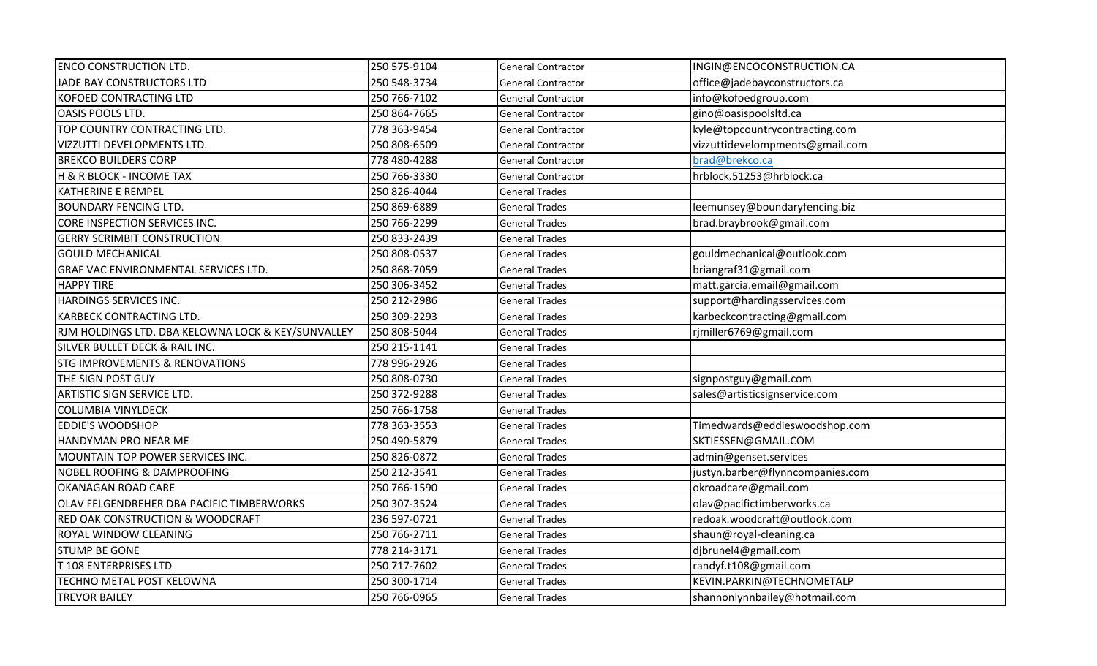| <b>ENCO CONSTRUCTION LTD.</b>                      | 250 575-9104 | <b>General Contractor</b> | INGIN@ENCOCONSTRUCTION.CA        |
|----------------------------------------------------|--------------|---------------------------|----------------------------------|
| JADE BAY CONSTRUCTORS LTD                          | 250 548-3734 | <b>General Contractor</b> | office@jadebayconstructors.ca    |
| KOFOED CONTRACTING LTD                             | 250 766-7102 | <b>General Contractor</b> | info@kofoedgroup.com             |
| <b>OASIS POOLS LTD.</b>                            | 250 864-7665 | <b>General Contractor</b> | gino@oasispoolsltd.ca            |
| TOP COUNTRY CONTRACTING LTD.                       | 778 363-9454 | <b>General Contractor</b> | kyle@topcountrycontracting.com   |
| VIZZUTTI DEVELOPMENTS LTD.                         | 250 808-6509 | <b>General Contractor</b> | vizzuttidevelompments@gmail.com  |
| <b>BREKCO BUILDERS CORP</b>                        | 778 480-4288 | <b>General Contractor</b> | brad@brekco.ca                   |
| H & R BLOCK - INCOME TAX                           | 250 766-3330 | <b>General Contractor</b> | hrblock.51253@hrblock.ca         |
| <b>KATHERINE E REMPEL</b>                          | 250 826-4044 | <b>General Trades</b>     |                                  |
| <b>BOUNDARY FENCING LTD.</b>                       | 250 869-6889 | <b>General Trades</b>     | leemunsey@boundaryfencing.biz    |
| CORE INSPECTION SERVICES INC.                      | 250 766-2299 | <b>General Trades</b>     | brad.braybrook@gmail.com         |
| <b>GERRY SCRIMBIT CONSTRUCTION</b>                 | 250 833-2439 | <b>General Trades</b>     |                                  |
| <b>GOULD MECHANICAL</b>                            | 250 808-0537 | <b>General Trades</b>     | gouldmechanical@outlook.com      |
| <b>GRAF VAC ENVIRONMENTAL SERVICES LTD.</b>        | 250 868-7059 | <b>General Trades</b>     | briangraf31@gmail.com            |
| <b>HAPPY TIRE</b>                                  | 250 306-3452 | <b>General Trades</b>     | matt.garcia.email@gmail.com      |
| HARDINGS SERVICES INC.                             | 250 212-2986 | <b>General Trades</b>     | support@hardingsservices.com     |
| <b>KARBECK CONTRACTING LTD.</b>                    | 250 309-2293 | <b>General Trades</b>     | karbeckcontracting@gmail.com     |
| RJM HOLDINGS LTD. DBA KELOWNA LOCK & KEY/SUNVALLEY | 250 808-5044 | <b>General Trades</b>     | rjmiller6769@gmail.com           |
| SILVER BULLET DECK & RAIL INC.                     | 250 215-1141 | <b>General Trades</b>     |                                  |
| <b>STG IMPROVEMENTS &amp; RENOVATIONS</b>          | 778 996-2926 | <b>General Trades</b>     |                                  |
| THE SIGN POST GUY                                  | 250 808-0730 | <b>General Trades</b>     | signpostguy@gmail.com            |
| <b>ARTISTIC SIGN SERVICE LTD.</b>                  | 250 372-9288 | <b>General Trades</b>     | sales@artisticsignservice.com    |
| <b>COLUMBIA VINYLDECK</b>                          | 250 766-1758 | <b>General Trades</b>     |                                  |
| <b>EDDIE'S WOODSHOP</b>                            | 778 363-3553 | <b>General Trades</b>     | Timedwards@eddieswoodshop.com    |
| HANDYMAN PRO NEAR ME                               | 250 490-5879 | <b>General Trades</b>     | SKTIESSEN@GMAIL.COM              |
| MOUNTAIN TOP POWER SERVICES INC.                   | 250 826-0872 | <b>General Trades</b>     | admin@genset.services            |
| <b>NOBEL ROOFING &amp; DAMPROOFING</b>             | 250 212-3541 | <b>General Trades</b>     | justyn.barber@flynncompanies.com |
| <b>OKANAGAN ROAD CARE</b>                          | 250 766-1590 | <b>General Trades</b>     | okroadcare@gmail.com             |
| OLAV FELGENDREHER DBA PACIFIC TIMBERWORKS          | 250 307-3524 | <b>General Trades</b>     | olav@pacifictimberworks.ca       |
| <b>RED OAK CONSTRUCTION &amp; WOODCRAFT</b>        | 236 597-0721 | <b>General Trades</b>     | redoak.woodcraft@outlook.com     |
| ROYAL WINDOW CLEANING                              | 250 766-2711 | <b>General Trades</b>     | shaun@royal-cleaning.ca          |
| <b>STUMP BE GONE</b>                               | 778 214-3171 | <b>General Trades</b>     | djbrunel4@gmail.com              |
| T 108 ENTERPRISES LTD                              | 250 717-7602 | <b>General Trades</b>     | randyf.t108@gmail.com            |
| TECHNO METAL POST KELOWNA                          | 250 300-1714 | <b>General Trades</b>     | KEVIN.PARKIN@TECHNOMETALP        |
| <b>TREVOR BAILEY</b>                               | 250 766-0965 | <b>General Trades</b>     | shannonlynnbailey@hotmail.com    |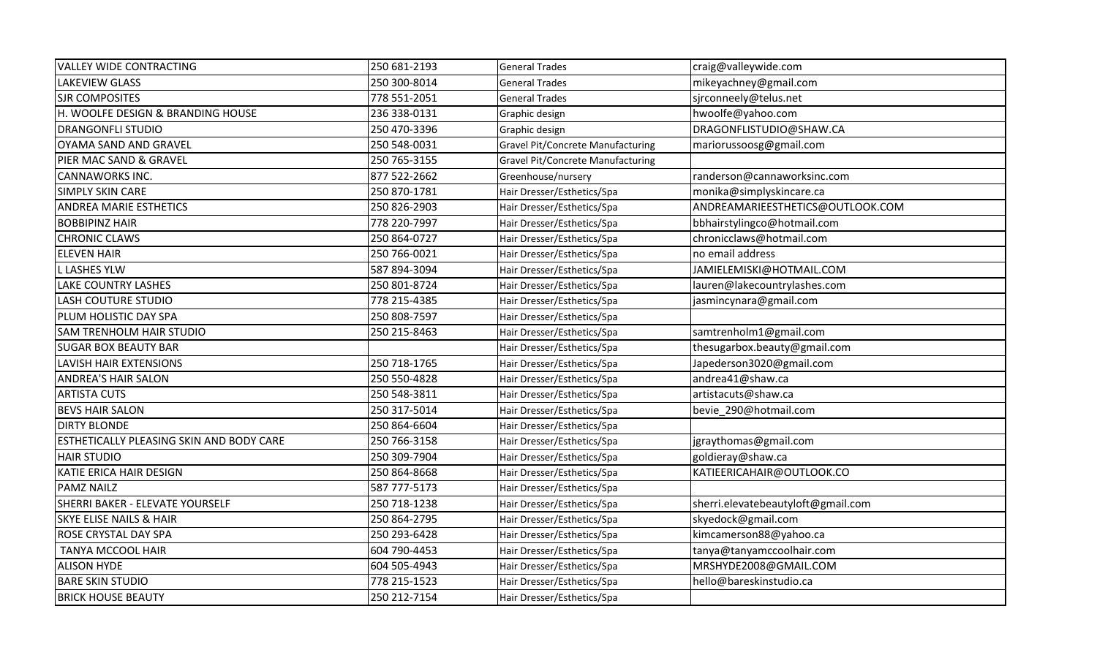| <b>VALLEY WIDE CONTRACTING</b>           | 250 681-2193 | <b>General Trades</b>             | craig@valleywide.com               |
|------------------------------------------|--------------|-----------------------------------|------------------------------------|
| <b>LAKEVIEW GLASS</b>                    | 250 300-8014 | <b>General Trades</b>             | mikeyachney@gmail.com              |
| <b>SJR COMPOSITES</b>                    | 778 551-2051 | <b>General Trades</b>             | sjrconneely@telus.net              |
| H. WOOLFE DESIGN & BRANDING HOUSE        | 236 338-0131 | Graphic design                    | hwoolfe@yahoo.com                  |
| <b>DRANGONFLI STUDIO</b>                 | 250 470-3396 | Graphic design                    | DRAGONFLISTUDIO@SHAW.CA            |
| OYAMA SAND AND GRAVEL                    | 250 548-0031 | Gravel Pit/Concrete Manufacturing | mariorussoosg@gmail.com            |
| PIER MAC SAND & GRAVEL                   | 250 765-3155 | Gravel Pit/Concrete Manufacturing |                                    |
| <b>CANNAWORKS INC.</b>                   | 877 522-2662 | Greenhouse/nursery                | randerson@cannaworksinc.com        |
| SIMPLY SKIN CARE                         | 250 870-1781 | Hair Dresser/Esthetics/Spa        | monika@simplyskincare.ca           |
| <b>ANDREA MARIE ESTHETICS</b>            | 250 826-2903 | Hair Dresser/Esthetics/Spa        | ANDREAMARIEESTHETICS@OUTLOOK.COM   |
| <b>BOBBIPINZ HAIR</b>                    | 778 220-7997 | Hair Dresser/Esthetics/Spa        | bbhairstylingco@hotmail.com        |
| <b>CHRONIC CLAWS</b>                     | 250 864-0727 | Hair Dresser/Esthetics/Spa        | chronicclaws@hotmail.com           |
| <b>ELEVEN HAIR</b>                       | 250 766-0021 | Hair Dresser/Esthetics/Spa        | no email address                   |
| L LASHES YLW                             | 587 894-3094 | Hair Dresser/Esthetics/Spa        | JAMIELEMISKI@HOTMAIL.COM           |
| <b>LAKE COUNTRY LASHES</b>               | 250 801-8724 | Hair Dresser/Esthetics/Spa        | lauren@lakecountrylashes.com       |
| <b>LASH COUTURE STUDIO</b>               | 778 215-4385 | Hair Dresser/Esthetics/Spa        | jasmincynara@gmail.com             |
| PLUM HOLISTIC DAY SPA                    | 250 808-7597 | Hair Dresser/Esthetics/Spa        |                                    |
| <b>SAM TRENHOLM HAIR STUDIO</b>          | 250 215-8463 | Hair Dresser/Esthetics/Spa        | samtrenholm1@gmail.com             |
| <b>SUGAR BOX BEAUTY BAR</b>              |              | Hair Dresser/Esthetics/Spa        | thesugarbox.beauty@gmail.com       |
| LAVISH HAIR EXTENSIONS                   | 250 718-1765 | Hair Dresser/Esthetics/Spa        | Japederson3020@gmail.com           |
| <b>ANDREA'S HAIR SALON</b>               | 250 550-4828 | Hair Dresser/Esthetics/Spa        | andrea41@shaw.ca                   |
| <b>ARTISTA CUTS</b>                      | 250 548-3811 | Hair Dresser/Esthetics/Spa        | artistacuts@shaw.ca                |
| <b>BEVS HAIR SALON</b>                   | 250 317-5014 | Hair Dresser/Esthetics/Spa        | bevie 290@hotmail.com              |
| <b>DIRTY BLONDE</b>                      | 250 864-6604 | Hair Dresser/Esthetics/Spa        |                                    |
| ESTHETICALLY PLEASING SKIN AND BODY CARE | 250 766-3158 | Hair Dresser/Esthetics/Spa        | jgraythomas@gmail.com              |
| <b>HAIR STUDIO</b>                       | 250 309-7904 | Hair Dresser/Esthetics/Spa        | goldieray@shaw.ca                  |
| KATIE ERICA HAIR DESIGN                  | 250 864-8668 | Hair Dresser/Esthetics/Spa        | KATIEERICAHAIR@OUTLOOK.CO          |
| <b>PAMZ NAILZ</b>                        | 587 777-5173 | Hair Dresser/Esthetics/Spa        |                                    |
| SHERRI BAKER - ELEVATE YOURSELF          | 250 718-1238 | Hair Dresser/Esthetics/Spa        | sherri.elevatebeautyloft@gmail.com |
| <b>SKYE ELISE NAILS &amp; HAIR</b>       | 250 864-2795 | Hair Dresser/Esthetics/Spa        | skyedock@gmail.com                 |
| ROSE CRYSTAL DAY SPA                     | 250 293-6428 | Hair Dresser/Esthetics/Spa        | kimcamerson88@yahoo.ca             |
| TANYA MCCOOL HAIR                        | 604 790-4453 | Hair Dresser/Esthetics/Spa        | tanya@tanyamccoolhair.com          |
| <b>ALISON HYDE</b>                       | 604 505-4943 | Hair Dresser/Esthetics/Spa        | MRSHYDE2008@GMAIL.COM              |
| <b>BARE SKIN STUDIO</b>                  | 778 215-1523 | Hair Dresser/Esthetics/Spa        | hello@bareskinstudio.ca            |
| <b>BRICK HOUSE BEAUTY</b>                | 250 212-7154 | Hair Dresser/Esthetics/Spa        |                                    |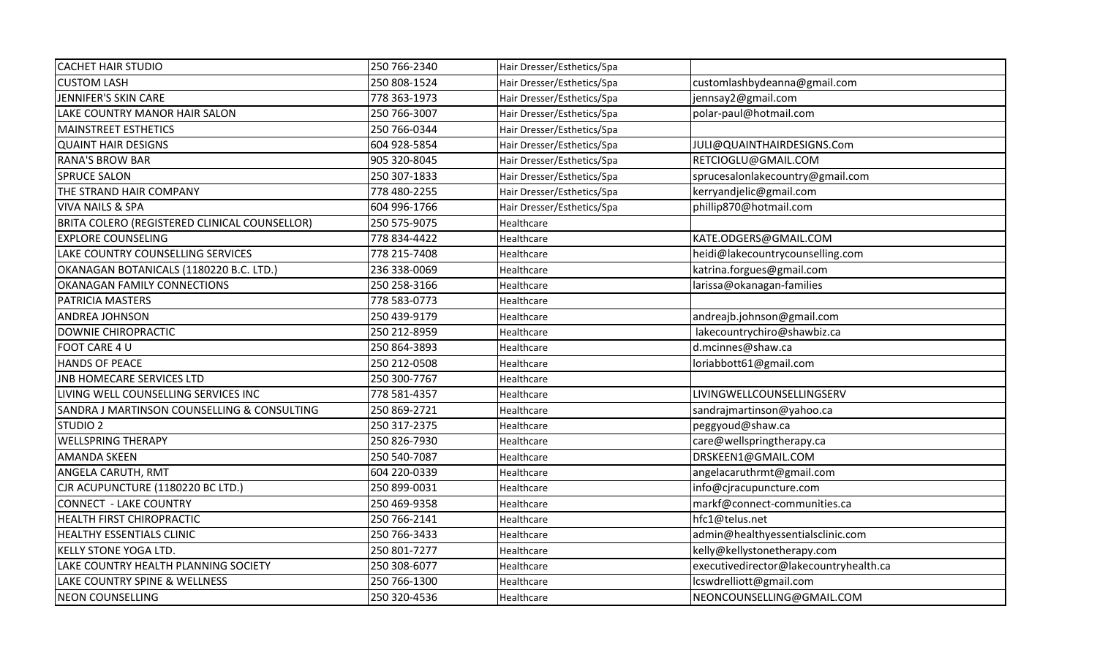| <b>CACHET HAIR STUDIO</b>                     | 250 766-2340 | Hair Dresser/Esthetics/Spa |                                        |
|-----------------------------------------------|--------------|----------------------------|----------------------------------------|
| <b>CUSTOM LASH</b>                            | 250 808-1524 | Hair Dresser/Esthetics/Spa | customlashbydeanna@gmail.com           |
| JENNIFER'S SKIN CARE                          | 778 363-1973 | Hair Dresser/Esthetics/Spa | jennsay2@gmail.com                     |
| LAKE COUNTRY MANOR HAIR SALON                 | 250 766-3007 | Hair Dresser/Esthetics/Spa | polar-paul@hotmail.com                 |
| MAINSTREET ESTHETICS                          | 250 766-0344 | Hair Dresser/Esthetics/Spa |                                        |
| <b>QUAINT HAIR DESIGNS</b>                    | 604 928-5854 | Hair Dresser/Esthetics/Spa | JULI@QUAINTHAIRDESIGNS.Com             |
| <b>RANA'S BROW BAR</b>                        | 905 320-8045 | Hair Dresser/Esthetics/Spa | RETCIOGLU@GMAIL.COM                    |
| <b>SPRUCE SALON</b>                           | 250 307-1833 | Hair Dresser/Esthetics/Spa | sprucesalonlakecountry@gmail.com       |
| THE STRAND HAIR COMPANY                       | 778 480-2255 | Hair Dresser/Esthetics/Spa | kerryandjelic@gmail.com                |
| <b>VIVA NAILS &amp; SPA</b>                   | 604 996-1766 | Hair Dresser/Esthetics/Spa | phillip870@hotmail.com                 |
| BRITA COLERO (REGISTERED CLINICAL COUNSELLOR) | 250 575-9075 | Healthcare                 |                                        |
| <b>EXPLORE COUNSELING</b>                     | 778 834-4422 | Healthcare                 | KATE.ODGERS@GMAIL.COM                  |
| LAKE COUNTRY COUNSELLING SERVICES             | 778 215-7408 | Healthcare                 | heidi@lakecountrycounselling.com       |
| OKANAGAN BOTANICALS (1180220 B.C. LTD.)       | 236 338-0069 | Healthcare                 | katrina.forgues@gmail.com              |
| OKANAGAN FAMILY CONNECTIONS                   | 250 258-3166 | Healthcare                 | larissa@okanagan-families              |
| PATRICIA MASTERS                              | 778 583-0773 | Healthcare                 |                                        |
| <b>ANDREA JOHNSON</b>                         | 250 439-9179 | Healthcare                 | andreajb.johnson@gmail.com             |
| DOWNIE CHIROPRACTIC                           | 250 212-8959 | Healthcare                 | lakecountrychiro@shawbiz.ca            |
| FOOT CARE 4 U                                 | 250 864-3893 | Healthcare                 | d.mcinnes@shaw.ca                      |
| <b>HANDS OF PEACE</b>                         | 250 212-0508 | Healthcare                 | loriabbott61@gmail.com                 |
| <b>JNB HOMECARE SERVICES LTD</b>              | 250 300-7767 | Healthcare                 |                                        |
| LIVING WELL COUNSELLING SERVICES INC          | 778 581-4357 | Healthcare                 | LIVINGWELLCOUNSELLINGSERV              |
| SANDRA J MARTINSON COUNSELLING & CONSULTING   | 250 869-2721 | Healthcare                 | sandrajmartinson@yahoo.ca              |
| STUDIO <sub>2</sub>                           | 250 317-2375 | Healthcare                 | peggyoud@shaw.ca                       |
| <b>WELLSPRING THERAPY</b>                     | 250 826-7930 | Healthcare                 | care@wellspringtherapy.ca              |
| <b>AMANDA SKEEN</b>                           | 250 540-7087 | Healthcare                 | DRSKEEN1@GMAIL.COM                     |
| ANGELA CARUTH, RMT                            | 604 220-0339 | Healthcare                 | angelacaruthrmt@gmail.com              |
| CJR ACUPUNCTURE (1180220 BC LTD.)             | 250 899-0031 | Healthcare                 | info@cjracupuncture.com                |
| <b>CONNECT - LAKE COUNTRY</b>                 | 250 469-9358 | Healthcare                 | markf@connect-communities.ca           |
| <b>HEALTH FIRST CHIROPRACTIC</b>              | 250 766-2141 | Healthcare                 | hfc1@telus.net                         |
| <b>HEALTHY ESSENTIALS CLINIC</b>              | 250 766-3433 | Healthcare                 | admin@healthyessentialsclinic.com      |
| <b>KELLY STONE YOGA LTD.</b>                  | 250 801-7277 | Healthcare                 | kelly@kellystonetherapy.com            |
| LAKE COUNTRY HEALTH PLANNING SOCIETY          | 250 308-6077 | Healthcare                 | executivedirector@lakecountryhealth.ca |
| <b>LAKE COUNTRY SPINE &amp; WELLNESS</b>      | 250 766-1300 | Healthcare                 | lcswdrelliott@gmail.com                |
| <b>NEON COUNSELLING</b>                       | 250 320-4536 | Healthcare                 | NEONCOUNSELLING@GMAIL.COM              |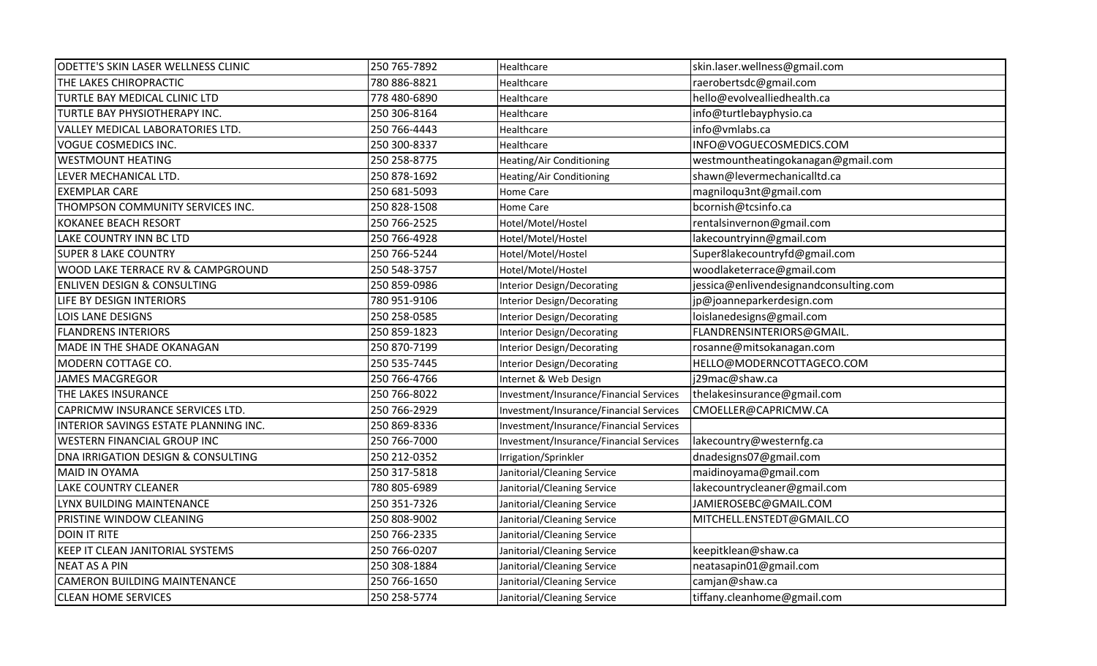| ODETTE'S SKIN LASER WELLNESS CLINIC     | 250 765-7892 | Healthcare                              | skin.laser.wellness@gmail.com          |
|-----------------------------------------|--------------|-----------------------------------------|----------------------------------------|
| THE LAKES CHIROPRACTIC                  | 780 886-8821 | Healthcare                              | raerobertsdc@gmail.com                 |
| TURTLE BAY MEDICAL CLINIC LTD           | 778 480-6890 | Healthcare                              | hello@evolvealliedhealth.ca            |
| TURTLE BAY PHYSIOTHERAPY INC.           | 250 306-8164 | Healthcare                              | info@turtlebayphysio.ca                |
| VALLEY MEDICAL LABORATORIES LTD.        | 250 766-4443 | Healthcare                              | info@vmlabs.ca                         |
| <b>VOGUE COSMEDICS INC.</b>             | 250 300-8337 | Healthcare                              | INFO@VOGUECOSMEDICS.COM                |
| <b>WESTMOUNT HEATING</b>                | 250 258-8775 | Heating/Air Conditioning                | westmountheatingokanagan@gmail.com     |
| LEVER MECHANICAL LTD.                   | 250 878-1692 | Heating/Air Conditioning                | shawn@levermechanicalltd.ca            |
| <b>EXEMPLAR CARE</b>                    | 250 681-5093 | Home Care                               | magniloqu3nt@gmail.com                 |
| THOMPSON COMMUNITY SERVICES INC.        | 250 828-1508 | Home Care                               | bcornish@tcsinfo.ca                    |
| <b>KOKANEE BEACH RESORT</b>             | 250 766-2525 | Hotel/Motel/Hostel                      | rentalsinvernon@gmail.com              |
| LAKE COUNTRY INN BC LTD                 | 250 766-4928 | Hotel/Motel/Hostel                      | lakecountryinn@gmail.com               |
| <b>SUPER 8 LAKE COUNTRY</b>             | 250 766-5244 | Hotel/Motel/Hostel                      | Super8lakecountryfd@gmail.com          |
| WOOD LAKE TERRACE RV & CAMPGROUND       | 250 548-3757 | Hotel/Motel/Hostel                      | woodlaketerrace@gmail.com              |
| <b>ENLIVEN DESIGN &amp; CONSULTING</b>  | 250 859-0986 | <b>Interior Design/Decorating</b>       | jessica@enlivendesignandconsulting.com |
| LIFE BY DESIGN INTERIORS                | 780 951-9106 | <b>Interior Design/Decorating</b>       | jp@joanneparkerdesign.com              |
| <b>LOIS LANE DESIGNS</b>                | 250 258-0585 | Interior Design/Decorating              | loislanedesigns@gmail.com              |
| <b>FLANDRENS INTERIORS</b>              | 250 859-1823 | <b>Interior Design/Decorating</b>       | FLANDRENSINTERIORS@GMAIL.              |
| MADE IN THE SHADE OKANAGAN              | 250 870-7199 | <b>Interior Design/Decorating</b>       | rosanne@mitsokanagan.com               |
| MODERN COTTAGE CO.                      | 250 535-7445 | <b>Interior Design/Decorating</b>       | HELLO@MODERNCOTTAGECO.COM              |
| <b>JAMES MACGREGOR</b>                  | 250 766-4766 | Internet & Web Design                   | j29mac@shaw.ca                         |
| THE LAKES INSURANCE                     | 250 766-8022 | Investment/Insurance/Financial Services | thelakesinsurance@gmail.com            |
| CAPRICMW INSURANCE SERVICES LTD.        | 250 766-2929 | Investment/Insurance/Financial Services | CMOELLER@CAPRICMW.CA                   |
| INTERIOR SAVINGS ESTATE PLANNING INC.   | 250 869-8336 | Investment/Insurance/Financial Services |                                        |
| WESTERN FINANCIAL GROUP INC             | 250 766-7000 | Investment/Insurance/Financial Services | lakecountry@westernfg.ca               |
| DNA IRRIGATION DESIGN & CONSULTING      | 250 212-0352 | Irrigation/Sprinkler                    | dnadesigns07@gmail.com                 |
| <b>MAID IN OYAMA</b>                    | 250 317-5818 | Janitorial/Cleaning Service             | maidinoyama@gmail.com                  |
| LAKE COUNTRY CLEANER                    | 780 805-6989 | Janitorial/Cleaning Service             | lakecountrycleaner@gmail.com           |
| LYNX BUILDING MAINTENANCE               | 250 351-7326 | Janitorial/Cleaning Service             | JAMIEROSEBC@GMAIL.COM                  |
| PRISTINE WINDOW CLEANING                | 250 808-9002 | Janitorial/Cleaning Service             | MITCHELL.ENSTEDT@GMAIL.CO              |
| <b>DOIN IT RITE</b>                     | 250 766-2335 | Janitorial/Cleaning Service             |                                        |
| <b>KEEP IT CLEAN JANITORIAL SYSTEMS</b> | 250 766-0207 | Janitorial/Cleaning Service             | keepitklean@shaw.ca                    |
| <b>NEAT AS A PIN</b>                    | 250 308-1884 | Janitorial/Cleaning Service             | neatasapin01@gmail.com                 |
| <b>CAMERON BUILDING MAINTENANCE</b>     | 250 766-1650 | Janitorial/Cleaning Service             | camjan@shaw.ca                         |
| <b>CLEAN HOME SERVICES</b>              | 250 258-5774 | Janitorial/Cleaning Service             | tiffany.cleanhome@gmail.com            |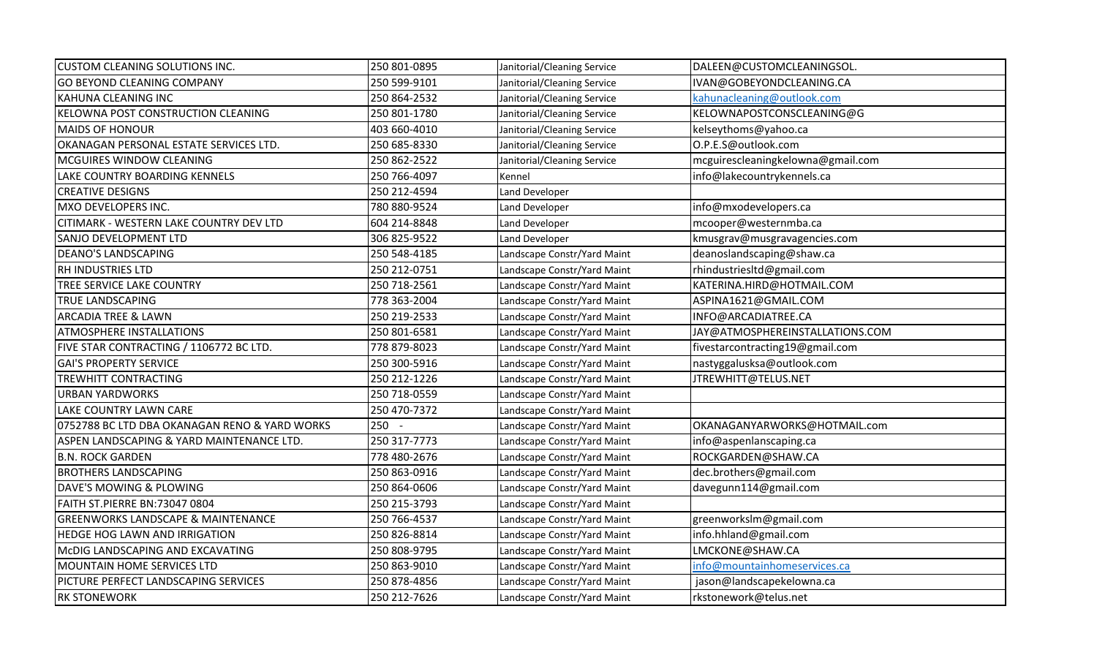| <b>CUSTOM CLEANING SOLUTIONS INC.</b>         | 250 801-0895 | Janitorial/Cleaning Service | DALEEN@CUSTOMCLEANINGSOL.         |
|-----------------------------------------------|--------------|-----------------------------|-----------------------------------|
| <b>GO BEYOND CLEANING COMPANY</b>             | 250 599-9101 | Janitorial/Cleaning Service | IVAN@GOBEYONDCLEANING.CA          |
| KAHUNA CLEANING INC                           | 250 864-2532 | Janitorial/Cleaning Service | kahunacleaning@outlook.com        |
| <b>KELOWNA POST CONSTRUCTION CLEANING</b>     | 250 801-1780 | Janitorial/Cleaning Service | KELOWNAPOSTCONSCLEANING@G         |
| <b>MAIDS OF HONOUR</b>                        | 403 660-4010 | Janitorial/Cleaning Service | kelseythoms@yahoo.ca              |
| OKANAGAN PERSONAL ESTATE SERVICES LTD.        | 250 685-8330 | Janitorial/Cleaning Service | O.P.E.S@outlook.com               |
| MCGUIRES WINDOW CLEANING                      | 250 862-2522 | Janitorial/Cleaning Service | mcguirescleaningkelowna@gmail.com |
| <b>LAKE COUNTRY BOARDING KENNELS</b>          | 250 766-4097 | Kennel                      | info@lakecountrykennels.ca        |
| <b>CREATIVE DESIGNS</b>                       | 250 212-4594 | Land Developer              |                                   |
| MXO DEVELOPERS INC.                           | 780 880-9524 | Land Developer              | info@mxodevelopers.ca             |
| CITIMARK - WESTERN LAKE COUNTRY DEV LTD       | 604 214-8848 | Land Developer              | mcooper@westernmba.ca             |
| SANJO DEVELOPMENT LTD                         | 306 825-9522 | Land Developer              | kmusgrav@musgravagencies.com      |
| <b>DEANO'S LANDSCAPING</b>                    | 250 548-4185 | Landscape Constr/Yard Maint | deanoslandscaping@shaw.ca         |
| <b>RH INDUSTRIES LTD</b>                      | 250 212-0751 | Landscape Constr/Yard Maint | rhindustriesItd@gmail.com         |
| TREE SERVICE LAKE COUNTRY                     | 250 718-2561 | Landscape Constr/Yard Maint | KATERINA.HIRD@HOTMAIL.COM         |
| <b>TRUE LANDSCAPING</b>                       | 778 363-2004 | Landscape Constr/Yard Maint | ASPINA1621@GMAIL.COM              |
| <b>ARCADIA TREE &amp; LAWN</b>                | 250 219-2533 | Landscape Constr/Yard Maint | INFO@ARCADIATREE.CA               |
| <b>ATMOSPHERE INSTALLATIONS</b>               | 250 801-6581 | Landscape Constr/Yard Maint | JAY@ATMOSPHEREINSTALLATIONS.COM   |
| FIVE STAR CONTRACTING / 1106772 BC LTD.       | 778 879-8023 | Landscape Constr/Yard Maint | fivestarcontracting19@gmail.com   |
| <b>GAI'S PROPERTY SERVICE</b>                 | 250 300-5916 | Landscape Constr/Yard Maint | nastyggalusksa@outlook.com        |
| <b>TREWHITT CONTRACTING</b>                   | 250 212-1226 | Landscape Constr/Yard Maint | JTREWHITT@TELUS.NET               |
| <b>URBAN YARDWORKS</b>                        | 250 718-0559 | Landscape Constr/Yard Maint |                                   |
| LAKE COUNTRY LAWN CARE                        | 250 470-7372 | Landscape Constr/Yard Maint |                                   |
| 0752788 BC LTD DBA OKANAGAN RENO & YARD WORKS | $250 -$      | Landscape Constr/Yard Maint | OKANAGANYARWORKS@HOTMAIL.com      |
| ASPEN LANDSCAPING & YARD MAINTENANCE LTD.     | 250 317-7773 | Landscape Constr/Yard Maint | info@aspenlanscaping.ca           |
| <b>B.N. ROCK GARDEN</b>                       | 778 480-2676 | Landscape Constr/Yard Maint | ROCKGARDEN@SHAW.CA                |
| <b>BROTHERS LANDSCAPING</b>                   | 250 863-0916 | Landscape Constr/Yard Maint | dec.brothers@gmail.com            |
| DAVE'S MOWING & PLOWING                       | 250 864-0606 | Landscape Constr/Yard Maint | davegunn114@gmail.com             |
| FAITH ST.PIERRE BN:73047 0804                 | 250 215-3793 | Landscape Constr/Yard Maint |                                   |
| <b>GREENWORKS LANDSCAPE &amp; MAINTENANCE</b> | 250 766-4537 | Landscape Constr/Yard Maint | greenworkslm@gmail.com            |
| <b>HEDGE HOG LAWN AND IRRIGATION</b>          | 250 826-8814 | Landscape Constr/Yard Maint | info.hhland@gmail.com             |
| MCDIG LANDSCAPING AND EXCAVATING              | 250 808-9795 | Landscape Constr/Yard Maint | LMCKONE@SHAW.CA                   |
| MOUNTAIN HOME SERVICES LTD                    | 250 863-9010 | Landscape Constr/Yard Maint | info@mountainhomeservices.ca      |
| PICTURE PERFECT LANDSCAPING SERVICES          | 250 878-4856 | Landscape Constr/Yard Maint | jason@landscapekelowna.ca         |
| <b>RK STONEWORK</b>                           | 250 212-7626 | Landscape Constr/Yard Maint | rkstonework@telus.net             |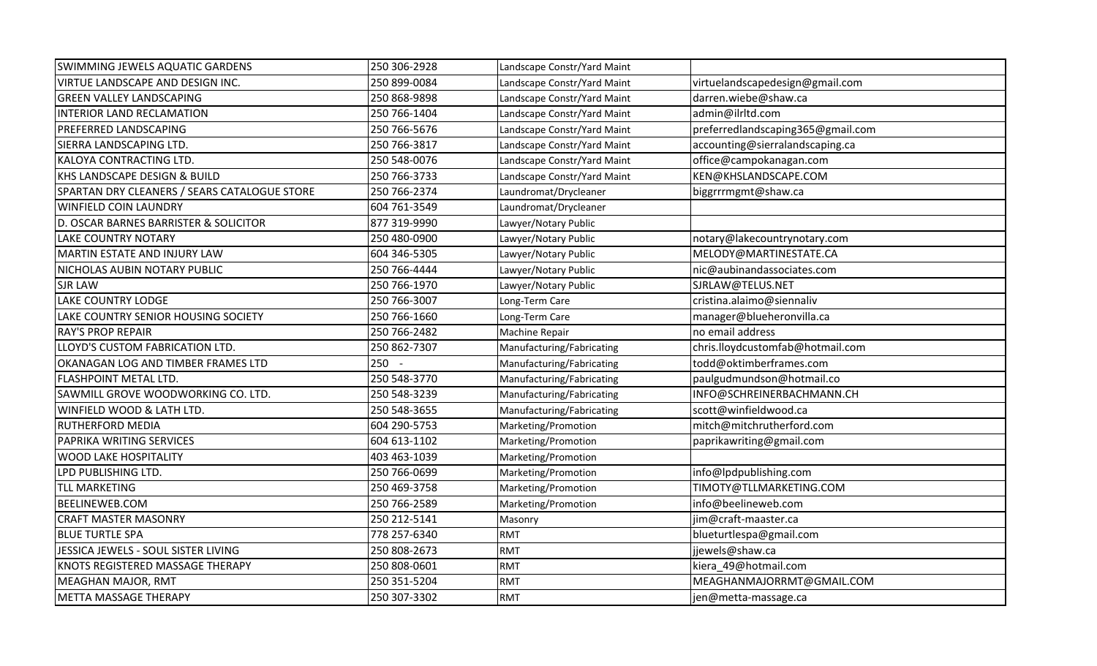| SWIMMING JEWELS AQUATIC GARDENS              | 250 306-2928 | Landscape Constr/Yard Maint |                                   |
|----------------------------------------------|--------------|-----------------------------|-----------------------------------|
| <b>VIRTUE LANDSCAPE AND DESIGN INC.</b>      | 250 899-0084 | Landscape Constr/Yard Maint | virtuelandscapedesign@gmail.com   |
| <b>GREEN VALLEY LANDSCAPING</b>              | 250 868-9898 | Landscape Constr/Yard Maint | darren.wiebe@shaw.ca              |
| INTERIOR LAND RECLAMATION                    | 250 766-1404 | Landscape Constr/Yard Maint | admin@ilrltd.com                  |
| <b>PREFERRED LANDSCAPING</b>                 | 250 766-5676 | Landscape Constr/Yard Maint | preferredlandscaping365@gmail.com |
| SIERRA LANDSCAPING LTD.                      | 250 766-3817 | Landscape Constr/Yard Maint | accounting@sierralandscaping.ca   |
| KALOYA CONTRACTING LTD.                      | 250 548-0076 | Landscape Constr/Yard Maint | office@campokanagan.com           |
| KHS LANDSCAPE DESIGN & BUILD                 | 250 766-3733 | Landscape Constr/Yard Maint | KEN@KHSLANDSCAPE.COM              |
| SPARTAN DRY CLEANERS / SEARS CATALOGUE STORE | 250 766-2374 | Laundromat/Drycleaner       | biggrrrmgmt@shaw.ca               |
| <b>WINFIELD COIN LAUNDRY</b>                 | 604 761-3549 | Laundromat/Drycleaner       |                                   |
| D. OSCAR BARNES BARRISTER & SOLICITOR        | 877 319-9990 | Lawyer/Notary Public        |                                   |
| <b>LAKE COUNTRY NOTARY</b>                   | 250 480-0900 | Lawyer/Notary Public        | notary@lakecountrynotary.com      |
| MARTIN ESTATE AND INJURY LAW                 | 604 346-5305 | Lawyer/Notary Public        | MELODY@MARTINESTATE.CA            |
| NICHOLAS AUBIN NOTARY PUBLIC                 | 250 766-4444 | Lawyer/Notary Public        | nic@aubinandassociates.com        |
| <b>SJR LAW</b>                               | 250 766-1970 | Lawyer/Notary Public        | SJRLAW@TELUS.NET                  |
| <b>LAKE COUNTRY LODGE</b>                    | 250 766-3007 | Long-Term Care              | cristina.alaimo@siennaliv         |
| LAKE COUNTRY SENIOR HOUSING SOCIETY          | 250 766-1660 | Long-Term Care              | manager@blueheronvilla.ca         |
| <b>RAY'S PROP REPAIR</b>                     | 250 766-2482 | Machine Repair              | no email address                  |
| LLOYD'S CUSTOM FABRICATION LTD.              | 250 862-7307 | Manufacturing/Fabricating   | chris.lloydcustomfab@hotmail.com  |
| OKANAGAN LOG AND TIMBER FRAMES LTD           | $250 -$      | Manufacturing/Fabricating   | todd@oktimberframes.com           |
| FLASHPOINT METAL LTD.                        | 250 548-3770 | Manufacturing/Fabricating   | paulgudmundson@hotmail.co         |
| SAWMILL GROVE WOODWORKING CO. LTD.           | 250 548-3239 | Manufacturing/Fabricating   | INFO@SCHREINERBACHMANN.CH         |
| <b>WINFIELD WOOD &amp; LATH LTD.</b>         | 250 548-3655 | Manufacturing/Fabricating   | scott@winfieldwood.ca             |
| <b>RUTHERFORD MEDIA</b>                      | 604 290-5753 | Marketing/Promotion         | mitch@mitchrutherford.com         |
| PAPRIKA WRITING SERVICES                     | 604 613-1102 | Marketing/Promotion         | paprikawriting@gmail.com          |
| <b>WOOD LAKE HOSPITALITY</b>                 | 403 463-1039 | Marketing/Promotion         |                                   |
| LPD PUBLISHING LTD.                          | 250 766-0699 | Marketing/Promotion         | info@lpdpublishing.com            |
| <b>TLL MARKETING</b>                         | 250 469-3758 | Marketing/Promotion         | TIMOTY@TLLMARKETING.COM           |
| <b>BEELINEWEB.COM</b>                        | 250 766-2589 | Marketing/Promotion         | info@beelineweb.com               |
| <b>CRAFT MASTER MASONRY</b>                  | 250 212-5141 | Masonry                     | jim@craft-maaster.ca              |
| <b>BLUE TURTLE SPA</b>                       | 778 257-6340 | <b>RMT</b>                  | blueturtlespa@gmail.com           |
| JESSICA JEWELS - SOUL SISTER LIVING          | 250 808-2673 | <b>RMT</b>                  | jjewels@shaw.ca                   |
| KNOTS REGISTERED MASSAGE THERAPY             | 250 808-0601 | <b>RMT</b>                  | kiera_49@hotmail.com              |
| <b>MEAGHAN MAJOR, RMT</b>                    | 250 351-5204 | <b>RMT</b>                  | MEAGHANMAJORRMT@GMAIL.COM         |
| METTA MASSAGE THERAPY                        | 250 307-3302 | <b>RMT</b>                  | jen@metta-massage.ca              |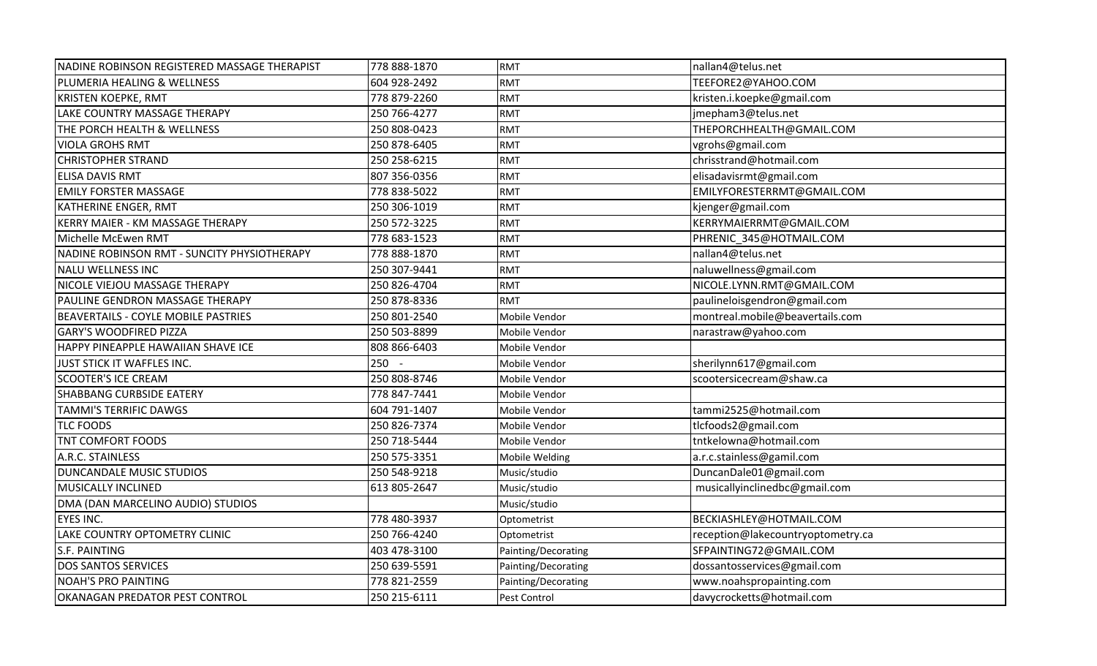| NADINE ROBINSON REGISTERED MASSAGE THERAPIST | 778 888-1870 | <b>RMT</b>          | nallan4@telus.net                 |
|----------------------------------------------|--------------|---------------------|-----------------------------------|
| PLUMERIA HEALING & WELLNESS                  | 604 928-2492 | <b>RMT</b>          | TEEFORE2@YAHOO.COM                |
| <b>KRISTEN KOEPKE, RMT</b>                   | 778 879-2260 | <b>RMT</b>          | kristen.i.koepke@gmail.com        |
| LAKE COUNTRY MASSAGE THERAPY                 | 250 766-4277 | <b>RMT</b>          | jmepham3@telus.net                |
| THE PORCH HEALTH & WELLNESS                  | 250 808-0423 | <b>RMT</b>          | THEPORCHHEALTH@GMAIL.COM          |
| <b>VIOLA GROHS RMT</b>                       | 250 878-6405 | <b>RMT</b>          | vgrohs@gmail.com                  |
| <b>CHRISTOPHER STRAND</b>                    | 250 258-6215 | <b>RMT</b>          | chrisstrand@hotmail.com           |
| <b>ELISA DAVIS RMT</b>                       | 807 356-0356 | <b>RMT</b>          | elisadavisrmt@gmail.com           |
| <b>EMILY FORSTER MASSAGE</b>                 | 778 838-5022 | <b>RMT</b>          | EMILYFORESTERRMT@GMAIL.COM        |
| KATHERINE ENGER, RMT                         | 250 306-1019 | <b>RMT</b>          | kjenger@gmail.com                 |
| KERRY MAIER - KM MASSAGE THERAPY             | 250 572-3225 | <b>RMT</b>          | KERRYMAIERRMT@GMAIL.COM           |
| Michelle McEwen RMT                          | 778 683-1523 | <b>RMT</b>          | PHRENIC_345@HOTMAIL.COM           |
| NADINE ROBINSON RMT - SUNCITY PHYSIOTHERAPY  | 778 888-1870 | <b>RMT</b>          | nallan4@telus.net                 |
| NALU WELLNESS INC                            | 250 307-9441 | <b>RMT</b>          | naluwellness@gmail.com            |
| NICOLE VIEJOU MASSAGE THERAPY                | 250 826-4704 | <b>RMT</b>          | NICOLE.LYNN.RMT@GMAIL.COM         |
| PAULINE GENDRON MASSAGE THERAPY              | 250 878-8336 | <b>RMT</b>          | paulineloisgendron@gmail.com      |
| BEAVERTAILS - COYLE MOBILE PASTRIES          | 250 801-2540 | Mobile Vendor       | montreal.mobile@beavertails.com   |
| <b>GARY'S WOODFIRED PIZZA</b>                | 250 503-8899 | Mobile Vendor       | narastraw@yahoo.com               |
| HAPPY PINEAPPLE HAWAIIAN SHAVE ICE           | 808 866-6403 | Mobile Vendor       |                                   |
| JUST STICK IT WAFFLES INC.                   | $250 -$      | Mobile Vendor       | sherilynn617@gmail.com            |
| <b>SCOOTER'S ICE CREAM</b>                   | 250 808-8746 | Mobile Vendor       | scootersicecream@shaw.ca          |
| SHABBANG CURBSIDE EATERY                     | 778 847-7441 | Mobile Vendor       |                                   |
| <b>TAMMI'S TERRIFIC DAWGS</b>                | 604 791-1407 | Mobile Vendor       | tammi2525@hotmail.com             |
| <b>TLC FOODS</b>                             | 250 826-7374 | Mobile Vendor       | tlcfoods2@gmail.com               |
| TNT COMFORT FOODS                            | 250 718-5444 | Mobile Vendor       | tntkelowna@hotmail.com            |
| A.R.C. STAINLESS                             | 250 575-3351 | Mobile Welding      | a.r.c.stainless@gamil.com         |
| DUNCANDALE MUSIC STUDIOS                     | 250 548-9218 | Music/studio        | DuncanDale01@gmail.com            |
| <b>MUSICALLY INCLINED</b>                    | 613 805-2647 | Music/studio        | musicallyinclinedbc@gmail.com     |
| DMA (DAN MARCELINO AUDIO) STUDIOS            |              | Music/studio        |                                   |
| <b>EYES INC.</b>                             | 778 480-3937 | Optometrist         | BECKIASHLEY@HOTMAIL.COM           |
| LAKE COUNTRY OPTOMETRY CLINIC                | 250 766-4240 | Optometrist         | reception@lakecountryoptometry.ca |
| S.F. PAINTING                                | 403 478-3100 | Painting/Decorating | SFPAINTING72@GMAIL.COM            |
| <b>DOS SANTOS SERVICES</b>                   | 250 639-5591 | Painting/Decorating | dossantosservices@gmail.com       |
| <b>NOAH'S PRO PAINTING</b>                   | 778 821-2559 | Painting/Decorating | www.noahspropainting.com          |
| OKANAGAN PREDATOR PEST CONTROL               | 250 215-6111 | Pest Control        | davycrocketts@hotmail.com         |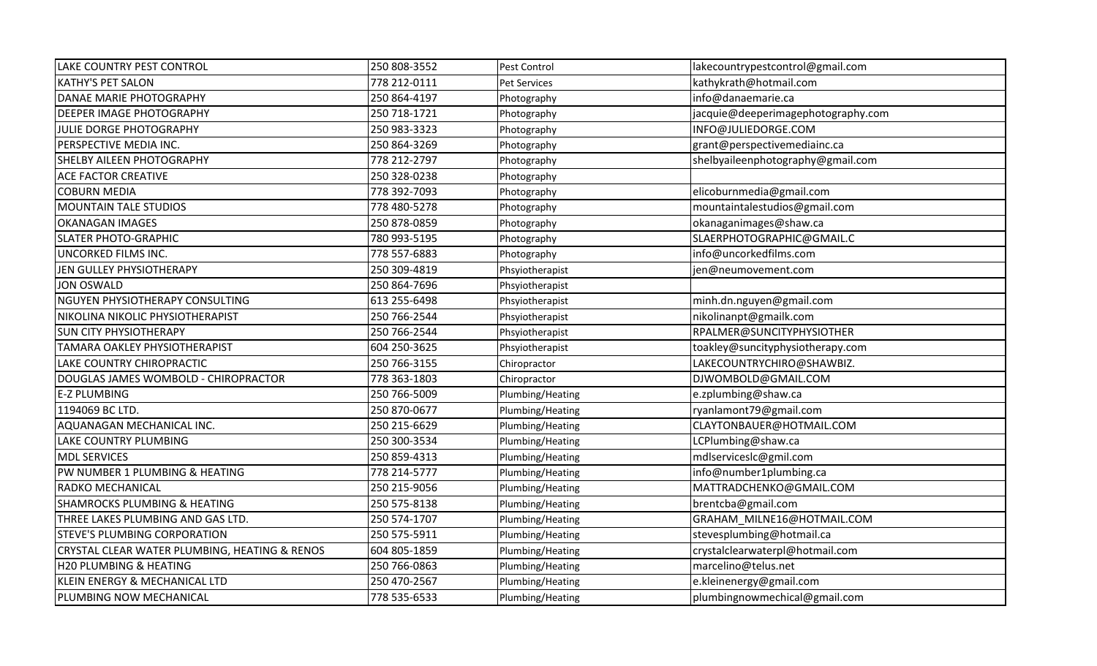| <b>LAKE COUNTRY PEST CONTROL</b>              | 250 808-3552 | Pest Control     | lakecountrypestcontrol@gmail.com   |
|-----------------------------------------------|--------------|------------------|------------------------------------|
| <b>KATHY'S PET SALON</b>                      | 778 212-0111 | Pet Services     | kathykrath@hotmail.com             |
| DANAE MARIE PHOTOGRAPHY                       | 250 864-4197 | Photography      | info@danaemarie.ca                 |
| <b>DEEPER IMAGE PHOTOGRAPHY</b>               | 250 718-1721 | Photography      | jacquie@deeperimagephotography.com |
| JULIE DORGE PHOTOGRAPHY                       | 250 983-3323 | Photography      | INFO@JULIEDORGE.COM                |
| PERSPECTIVE MEDIA INC.                        | 250 864-3269 | Photography      | grant@perspectivemediainc.ca       |
| SHELBY AILEEN PHOTOGRAPHY                     | 778 212-2797 | Photography      | shelbyaileenphotography@gmail.com  |
| <b>ACE FACTOR CREATIVE</b>                    | 250 328-0238 | Photography      |                                    |
| <b>COBURN MEDIA</b>                           | 778 392-7093 | Photography      | elicoburnmedia@gmail.com           |
| <b>MOUNTAIN TALE STUDIOS</b>                  | 778 480-5278 | Photography      | mountaintalestudios@gmail.com      |
| <b>OKANAGAN IMAGES</b>                        | 250 878-0859 | Photography      | okanaganimages@shaw.ca             |
| <b>SLATER PHOTO-GRAPHIC</b>                   | 780 993-5195 | Photography      | SLAERPHOTOGRAPHIC@GMAIL.C          |
| UNCORKED FILMS INC.                           | 778 557-6883 | Photography      | info@uncorkedfilms.com             |
| JEN GULLEY PHYSIOTHERAPY                      | 250 309-4819 | Phsyiotherapist  | jen@neumovement.com                |
| <b>JON OSWALD</b>                             | 250 864-7696 | Phsyiotherapist  |                                    |
| NGUYEN PHYSIOTHERAPY CONSULTING               | 613 255-6498 | Phsyiotherapist  | minh.dn.nguyen@gmail.com           |
| NIKOLINA NIKOLIC PHYSIOTHERAPIST              | 250 766-2544 | Phsyiotherapist  | nikolinanpt@gmailk.com             |
| <b>SUN CITY PHYSIOTHERAPY</b>                 | 250 766-2544 | Phsyiotherapist  | RPALMER@SUNCITYPHYSIOTHER          |
| TAMARA OAKLEY PHYSIOTHERAPIST                 | 604 250-3625 | Phsyiotherapist  | toakley@suncityphysiotherapy.com   |
| LAKE COUNTRY CHIROPRACTIC                     | 250 766-3155 | Chiropractor     | LAKECOUNTRYCHIRO@SHAWBIZ.          |
| DOUGLAS JAMES WOMBOLD - CHIROPRACTOR          | 778 363-1803 | Chiropractor     | DJWOMBOLD@GMAIL.COM                |
| <b>E-Z PLUMBING</b>                           | 250 766-5009 | Plumbing/Heating | e.zplumbing@shaw.ca                |
| 1194069 BC LTD.                               | 250 870-0677 | Plumbing/Heating | ryanlamont79@gmail.com             |
| AQUANAGAN MECHANICAL INC.                     | 250 215-6629 | Plumbing/Heating | CLAYTONBAUER@HOTMAIL.COM           |
| LAKE COUNTRY PLUMBING                         | 250 300-3534 | Plumbing/Heating | LCPlumbing@shaw.ca                 |
| <b>MDL SERVICES</b>                           | 250 859-4313 | Plumbing/Heating | mdlserviceslc@gmil.com             |
| PW NUMBER 1 PLUMBING & HEATING                | 778 214-5777 | Plumbing/Heating | info@number1plumbing.ca            |
| RADKO MECHANICAL                              | 250 215-9056 | Plumbing/Heating | MATTRADCHENKO@GMAIL.COM            |
| <b>SHAMROCKS PLUMBING &amp; HEATING</b>       | 250 575-8138 | Plumbing/Heating | brentcba@gmail.com                 |
| THREE LAKES PLUMBING AND GAS LTD.             | 250 574-1707 | Plumbing/Heating | GRAHAM_MILNE16@HOTMAIL.COM         |
| STEVE'S PLUMBING CORPORATION                  | 250 575-5911 | Plumbing/Heating | stevesplumbing@hotmail.ca          |
| CRYSTAL CLEAR WATER PLUMBING, HEATING & RENOS | 604 805-1859 | Plumbing/Heating | crystalclearwaterpl@hotmail.com    |
| H20 PLUMBING & HEATING                        | 250 766-0863 | Plumbing/Heating | marcelino@telus.net                |
| KLEIN ENERGY & MECHANICAL LTD                 | 250 470-2567 | Plumbing/Heating | e.kleinenergy@gmail.com            |
| PLUMBING NOW MECHANICAL                       | 778 535-6533 | Plumbing/Heating | plumbingnowmechical@gmail.com      |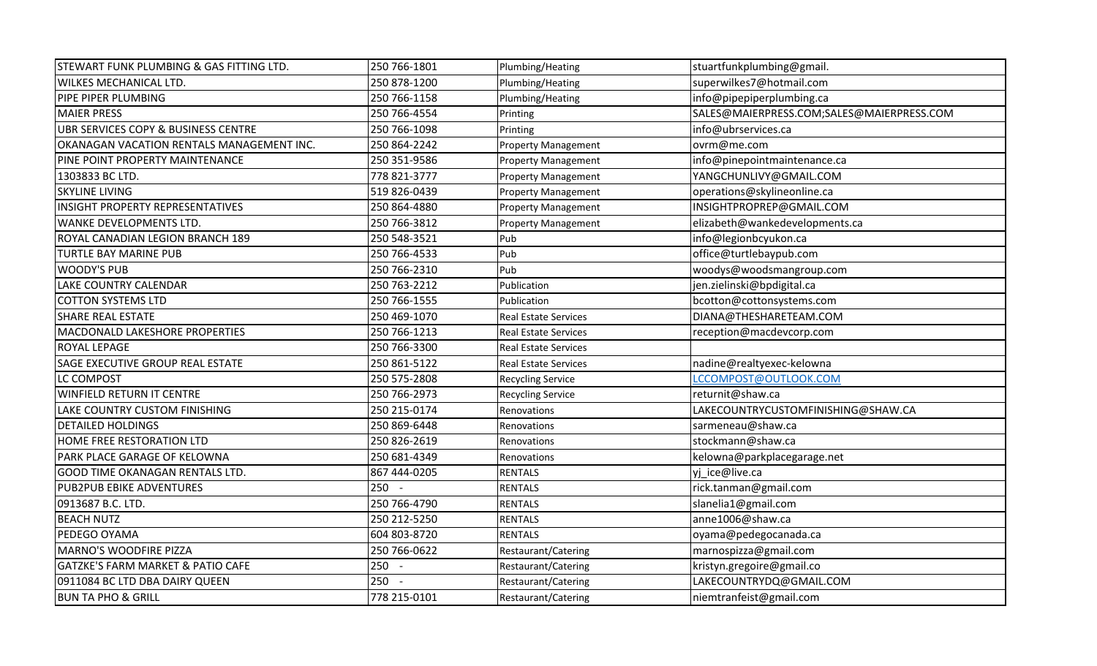| STEWART FUNK PLUMBING & GAS FITTING LTD.     | 250 766-1801 | Plumbing/Heating            | stuartfunkplumbing@gmail.                 |
|----------------------------------------------|--------------|-----------------------------|-------------------------------------------|
| WILKES MECHANICAL LTD.                       | 250 878-1200 | Plumbing/Heating            | superwilkes7@hotmail.com                  |
| PIPE PIPER PLUMBING                          | 250 766-1158 | Plumbing/Heating            | info@pipepiperplumbing.ca                 |
| <b>MAIER PRESS</b>                           | 250 766-4554 | Printing                    | SALES@MAIERPRESS.COM;SALES@MAIERPRESS.COM |
| UBR SERVICES COPY & BUSINESS CENTRE          | 250 766-1098 | Printing                    | info@ubrservices.ca                       |
| OKANAGAN VACATION RENTALS MANAGEMENT INC.    | 250 864-2242 | <b>Property Management</b>  | ovrm@me.com                               |
| PINE POINT PROPERTY MAINTENANCE              | 250 351-9586 | <b>Property Management</b>  | info@pinepointmaintenance.ca              |
| 1303833 BC LTD.                              | 778 821-3777 | <b>Property Management</b>  | YANGCHUNLIVY@GMAIL.COM                    |
| <b>SKYLINE LIVING</b>                        | 519 826-0439 | <b>Property Management</b>  | operations@skylineonline.ca               |
| <b>INSIGHT PROPERTY REPRESENTATIVES</b>      | 250 864-4880 | <b>Property Management</b>  | INSIGHTPROPREP@GMAIL.COM                  |
| <b>WANKE DEVELOPMENTS LTD.</b>               | 250 766-3812 | <b>Property Management</b>  | elizabeth@wankedevelopments.ca            |
| ROYAL CANADIAN LEGION BRANCH 189             | 250 548-3521 | Pub                         | info@legionbcyukon.ca                     |
| <b>TURTLE BAY MARINE PUB</b>                 | 250 766-4533 | Pub                         | office@turtlebaypub.com                   |
| <b>WOODY'S PUB</b>                           | 250 766-2310 | Pub                         | woodys@woodsmangroup.com                  |
| <b>LAKE COUNTRY CALENDAR</b>                 | 250 763-2212 | Publication                 | jen.zielinski@bpdigital.ca                |
| <b>COTTON SYSTEMS LTD</b>                    | 250 766-1555 | Publication                 | bcotton@cottonsystems.com                 |
| <b>SHARE REAL ESTATE</b>                     | 250 469-1070 | <b>Real Estate Services</b> | DIANA@THESHARETEAM.COM                    |
| MACDONALD LAKESHORE PROPERTIES               | 250 766-1213 | <b>Real Estate Services</b> | reception@macdevcorp.com                  |
| ROYAL LEPAGE                                 | 250 766-3300 | <b>Real Estate Services</b> |                                           |
| SAGE EXECUTIVE GROUP REAL ESTATE             | 250 861-5122 | <b>Real Estate Services</b> | nadine@realtyexec-kelowna                 |
| LC COMPOST                                   | 250 575-2808 | <b>Recycling Service</b>    | LCCOMPOST@OUTLOOK.COM                     |
| <b>WINFIELD RETURN IT CENTRE</b>             | 250 766-2973 | <b>Recycling Service</b>    | returnit@shaw.ca                          |
| LAKE COUNTRY CUSTOM FINISHING                | 250 215-0174 | Renovations                 | LAKECOUNTRYCUSTOMFINISHING@SHAW.CA        |
| <b>DETAILED HOLDINGS</b>                     | 250 869-6448 | Renovations                 | sarmeneau@shaw.ca                         |
| HOME FREE RESTORATION LTD                    | 250 826-2619 | Renovations                 | stockmann@shaw.ca                         |
| PARK PLACE GARAGE OF KELOWNA                 | 250 681-4349 | Renovations                 | kelowna@parkplacegarage.net               |
| <b>GOOD TIME OKANAGAN RENTALS LTD.</b>       | 867 444-0205 | <b>RENTALS</b>              | vi ice@live.ca                            |
| <b>PUB2PUB EBIKE ADVENTURES</b>              | $250 -$      | <b>RENTALS</b>              | rick.tanman@gmail.com                     |
| 0913687 B.C. LTD.                            | 250 766-4790 | <b>RENTALS</b>              | slanelia1@gmail.com                       |
| <b>BEACH NUTZ</b>                            | 250 212-5250 | <b>RENTALS</b>              | anne1006@shaw.ca                          |
| PEDEGO OYAMA                                 | 604 803-8720 | <b>RENTALS</b>              | oyama@pedegocanada.ca                     |
| <b>MARNO'S WOODFIRE PIZZA</b>                | 250 766-0622 | Restaurant/Catering         | marnospizza@gmail.com                     |
| <b>GATZKE'S FARM MARKET &amp; PATIO CAFE</b> | 250 -        | Restaurant/Catering         | kristyn.gregoire@gmail.co                 |
| 0911084 BC LTD DBA DAIRY QUEEN               | $250 -$      | Restaurant/Catering         | LAKECOUNTRYDQ@GMAIL.COM                   |
| <b>BUN TA PHO &amp; GRILL</b>                | 778 215-0101 | Restaurant/Catering         | niemtranfeist@gmail.com                   |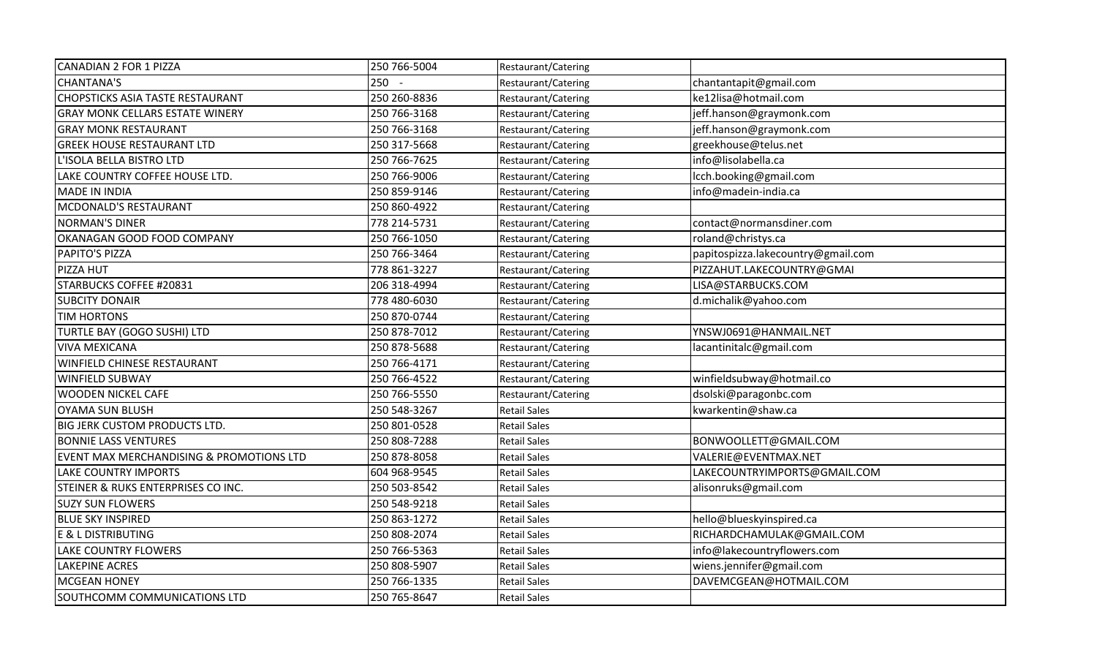| CANADIAN 2 FOR 1 PIZZA                   | 250 766-5004 | Restaurant/Catering |                                    |
|------------------------------------------|--------------|---------------------|------------------------------------|
| <b>CHANTANA'S</b>                        | $250 -$      | Restaurant/Catering | chantantapit@gmail.com             |
| <b>CHOPSTICKS ASIA TASTE RESTAURANT</b>  | 250 260-8836 | Restaurant/Catering | ke12lisa@hotmail.com               |
| <b>GRAY MONK CELLARS ESTATE WINERY</b>   | 250 766-3168 | Restaurant/Catering | jeff.hanson@graymonk.com           |
| <b>GRAY MONK RESTAURANT</b>              | 250 766-3168 | Restaurant/Catering | jeff.hanson@graymonk.com           |
| <b>GREEK HOUSE RESTAURANT LTD</b>        | 250 317-5668 | Restaurant/Catering | greekhouse@telus.net               |
| L'ISOLA BELLA BISTRO LTD                 | 250 766-7625 | Restaurant/Catering | info@lisolabella.ca                |
| LAKE COUNTRY COFFEE HOUSE LTD.           | 250 766-9006 | Restaurant/Catering | lcch.booking@gmail.com             |
| <b>MADE IN INDIA</b>                     | 250 859-9146 | Restaurant/Catering | info@madein-india.ca               |
| MCDONALD'S RESTAURANT                    | 250 860-4922 | Restaurant/Catering |                                    |
| <b>NORMAN'S DINER</b>                    | 778 214-5731 | Restaurant/Catering | contact@normansdiner.com           |
| OKANAGAN GOOD FOOD COMPANY               | 250 766-1050 | Restaurant/Catering | roland@christys.ca                 |
| <b>PAPITO'S PIZZA</b>                    | 250 766-3464 | Restaurant/Catering | papitospizza.lakecountry@gmail.com |
| PIZZA HUT                                | 778 861-3227 | Restaurant/Catering | PIZZAHUT.LAKECOUNTRY@GMAI          |
| STARBUCKS COFFEE #20831                  | 206 318-4994 | Restaurant/Catering | LISA@STARBUCKS.COM                 |
| <b>SUBCITY DONAIR</b>                    | 778 480-6030 | Restaurant/Catering | d.michalik@yahoo.com               |
| <b>TIM HORTONS</b>                       | 250 870-0744 | Restaurant/Catering |                                    |
| TURTLE BAY (GOGO SUSHI) LTD              | 250 878-7012 | Restaurant/Catering | YNSWJ0691@HANMAIL.NET              |
| <b>VIVA MEXICANA</b>                     | 250 878-5688 | Restaurant/Catering | lacantinitalc@gmail.com            |
| <b>WINFIELD CHINESE RESTAURANT</b>       | 250 766-4171 | Restaurant/Catering |                                    |
| <b>WINFIELD SUBWAY</b>                   | 250 766-4522 | Restaurant/Catering | winfieldsubway@hotmail.co          |
| <b>WOODEN NICKEL CAFE</b>                | 250 766-5550 | Restaurant/Catering | dsolski@paragonbc.com              |
| <b>OYAMA SUN BLUSH</b>                   | 250 548-3267 | <b>Retail Sales</b> | kwarkentin@shaw.ca                 |
| <b>BIG JERK CUSTOM PRODUCTS LTD.</b>     | 250 801-0528 | <b>Retail Sales</b> |                                    |
| <b>BONNIE LASS VENTURES</b>              | 250 808-7288 | <b>Retail Sales</b> | BONWOOLLETT@GMAIL.COM              |
| EVENT MAX MERCHANDISING & PROMOTIONS LTD | 250 878-8058 | <b>Retail Sales</b> | VALERIE@EVENTMAX.NET               |
| <b>LAKE COUNTRY IMPORTS</b>              | 604 968-9545 | <b>Retail Sales</b> | LAKECOUNTRYIMPORTS@GMAIL.COM       |
| STEINER & RUKS ENTERPRISES CO INC.       | 250 503-8542 | <b>Retail Sales</b> | alisonruks@gmail.com               |
| <b>SUZY SUN FLOWERS</b>                  | 250 548-9218 | <b>Retail Sales</b> |                                    |
| <b>BLUE SKY INSPIRED</b>                 | 250 863-1272 | <b>Retail Sales</b> | hello@blueskyinspired.ca           |
| <b>E &amp; L DISTRIBUTING</b>            | 250 808-2074 | <b>Retail Sales</b> | RICHARDCHAMULAK@GMAIL.COM          |
| LAKE COUNTRY FLOWERS                     | 250 766-5363 | <b>Retail Sales</b> | info@lakecountryflowers.com        |
| <b>LAKEPINE ACRES</b>                    | 250 808-5907 | <b>Retail Sales</b> | wiens.jennifer@gmail.com           |
| <b>MCGEAN HONEY</b>                      | 250 766-1335 | <b>Retail Sales</b> | DAVEMCGEAN@HOTMAIL.COM             |
| SOUTHCOMM COMMUNICATIONS LTD             | 250 765-8647 | <b>Retail Sales</b> |                                    |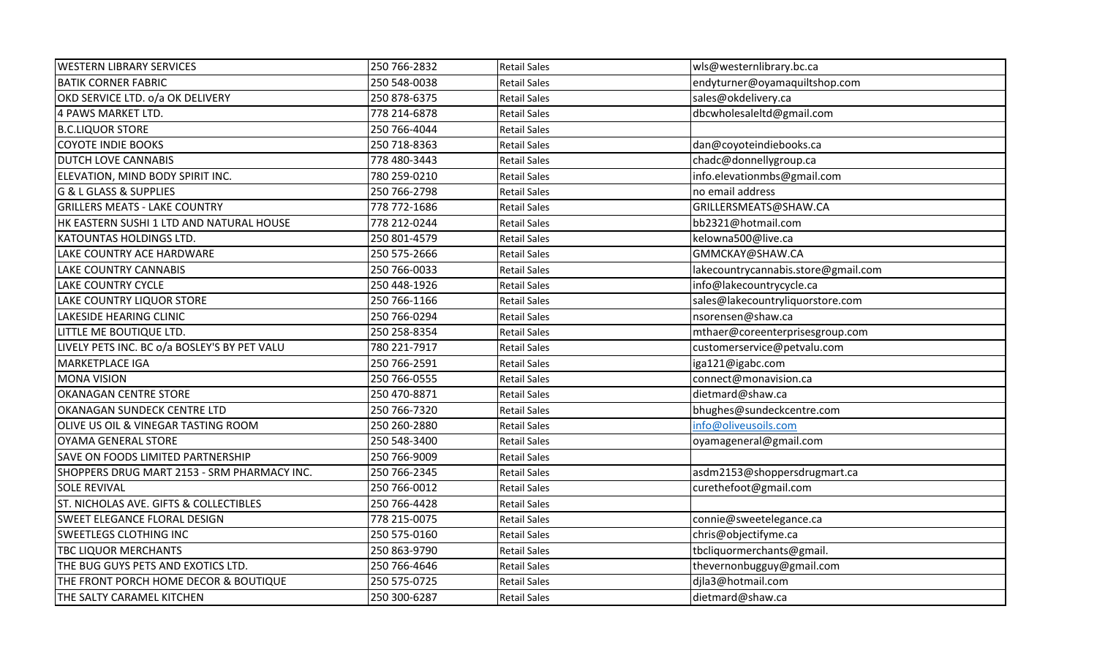| <b>WESTERN LIBRARY SERVICES</b>              | 250 766-2832 | <b>Retail Sales</b> | wls@westernlibrary.bc.ca            |
|----------------------------------------------|--------------|---------------------|-------------------------------------|
| <b>BATIK CORNER FABRIC</b>                   | 250 548-0038 | <b>Retail Sales</b> | endyturner@oyamaquiltshop.com       |
| OKD SERVICE LTD. o/a OK DELIVERY             | 250 878-6375 | <b>Retail Sales</b> | sales@okdelivery.ca                 |
| 4 PAWS MARKET LTD.                           | 778 214-6878 | <b>Retail Sales</b> | dbcwholesaleltd@gmail.com           |
| <b>B.C.LIQUOR STORE</b>                      | 250 766-4044 | <b>Retail Sales</b> |                                     |
| <b>COYOTE INDIE BOOKS</b>                    | 250 718-8363 | <b>Retail Sales</b> | dan@coyoteindiebooks.ca             |
| <b>DUTCH LOVE CANNABIS</b>                   | 778 480-3443 | <b>Retail Sales</b> | chadc@donnellygroup.ca              |
| ELEVATION, MIND BODY SPIRIT INC.             | 780 259-0210 | <b>Retail Sales</b> | info.elevationmbs@gmail.com         |
| <b>G &amp; L GLASS &amp; SUPPLIES</b>        | 250 766-2798 | <b>Retail Sales</b> | no email address                    |
| <b>GRILLERS MEATS - LAKE COUNTRY</b>         | 778 772-1686 | <b>Retail Sales</b> | GRILLERSMEATS@SHAW.CA               |
| HK EASTERN SUSHI 1 LTD AND NATURAL HOUSE     | 778 212-0244 | <b>Retail Sales</b> | bb2321@hotmail.com                  |
| KATOUNTAS HOLDINGS LTD.                      | 250 801-4579 | <b>Retail Sales</b> | kelowna500@live.ca                  |
| LAKE COUNTRY ACE HARDWARE                    | 250 575-2666 | <b>Retail Sales</b> | GMMCKAY@SHAW.CA                     |
| <b>LAKE COUNTRY CANNABIS</b>                 | 250 766-0033 | <b>Retail Sales</b> | lakecountrycannabis.store@gmail.com |
| <b>LAKE COUNTRY CYCLE</b>                    | 250 448-1926 | <b>Retail Sales</b> | info@lakecountrycycle.ca            |
| LAKE COUNTRY LIQUOR STORE                    | 250 766-1166 | <b>Retail Sales</b> | sales@lakecountryliquorstore.com    |
| LAKESIDE HEARING CLINIC                      | 250 766-0294 | <b>Retail Sales</b> | nsorensen@shaw.ca                   |
| LITTLE ME BOUTIQUE LTD.                      | 250 258-8354 | <b>Retail Sales</b> | mthaer@coreenterprisesgroup.com     |
| LIVELY PETS INC. BC o/a BOSLEY'S BY PET VALU | 780 221-7917 | <b>Retail Sales</b> | customerservice@petvalu.com         |
| <b>MARKETPLACE IGA</b>                       | 250 766-2591 | <b>Retail Sales</b> | iga121@igabc.com                    |
| <b>MONA VISION</b>                           | 250 766-0555 | <b>Retail Sales</b> | connect@monavision.ca               |
| OKANAGAN CENTRE STORE                        | 250 470-8871 | <b>Retail Sales</b> | dietmard@shaw.ca                    |
| OKANAGAN SUNDECK CENTRE LTD                  | 250 766-7320 | <b>Retail Sales</b> | bhughes@sundeckcentre.com           |
| OLIVE US OIL & VINEGAR TASTING ROOM          | 250 260-2880 | <b>Retail Sales</b> | info@oliveusoils.com                |
| <b>OYAMA GENERAL STORE</b>                   | 250 548-3400 | <b>Retail Sales</b> | oyamageneral@gmail.com              |
| SAVE ON FOODS LIMITED PARTNERSHIP            | 250 766-9009 | <b>Retail Sales</b> |                                     |
| SHOPPERS DRUG MART 2153 - SRM PHARMACY INC.  | 250 766-2345 | <b>Retail Sales</b> | asdm2153@shoppersdrugmart.ca        |
| <b>SOLE REVIVAL</b>                          | 250 766-0012 | <b>Retail Sales</b> | curethefoot@gmail.com               |
| ST. NICHOLAS AVE. GIFTS & COLLECTIBLES       | 250 766-4428 | <b>Retail Sales</b> |                                     |
| SWEET ELEGANCE FLORAL DESIGN                 | 778 215-0075 | <b>Retail Sales</b> | connie@sweetelegance.ca             |
| SWEETLEGS CLOTHING INC                       | 250 575-0160 | <b>Retail Sales</b> | chris@objectifyme.ca                |
| <b>TBC LIQUOR MERCHANTS</b>                  | 250 863-9790 | <b>Retail Sales</b> | tbcliquormerchants@gmail.           |
| THE BUG GUYS PETS AND EXOTICS LTD.           | 250 766-4646 | <b>Retail Sales</b> | thevernonbugguy@gmail.com           |
| THE FRONT PORCH HOME DECOR & BOUTIQUE        | 250 575-0725 | <b>Retail Sales</b> | djla3@hotmail.com                   |
| THE SALTY CARAMEL KITCHEN                    | 250 300-6287 | <b>Retail Sales</b> | dietmard@shaw.ca                    |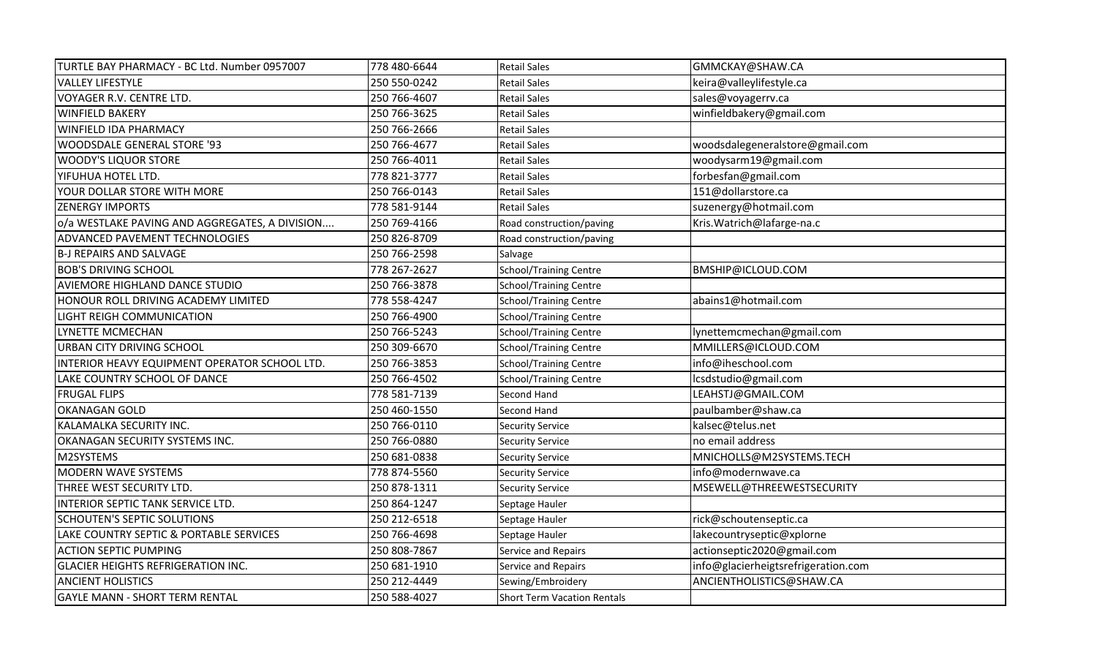| TURTLE BAY PHARMACY - BC Ltd. Number 0957007   | 778 480-6644 | <b>Retail Sales</b>           | GMMCKAY@SHAW.CA                     |
|------------------------------------------------|--------------|-------------------------------|-------------------------------------|
| <b>VALLEY LIFESTYLE</b>                        | 250 550-0242 | <b>Retail Sales</b>           | keira@valleylifestyle.ca            |
| VOYAGER R.V. CENTRE LTD.                       | 250 766-4607 | <b>Retail Sales</b>           | sales@voyagerrv.ca                  |
| <b>WINFIELD BAKERY</b>                         | 250 766-3625 | <b>Retail Sales</b>           | winfieldbakery@gmail.com            |
| <b>WINFIELD IDA PHARMACY</b>                   | 250 766-2666 | <b>Retail Sales</b>           |                                     |
| <b>WOODSDALE GENERAL STORE '93</b>             | 250 766-4677 | <b>Retail Sales</b>           | woodsdalegeneralstore@gmail.com     |
| <b>WOODY'S LIQUOR STORE</b>                    | 250 766-4011 | <b>Retail Sales</b>           | woodysarm19@gmail.com               |
| YIFUHUA HOTEL LTD.                             | 778 821-3777 | <b>Retail Sales</b>           | forbesfan@gmail.com                 |
| YOUR DOLLAR STORE WITH MORE                    | 250 766-0143 | <b>Retail Sales</b>           | 151@dollarstore.ca                  |
| <b>ZENERGY IMPORTS</b>                         | 778 581-9144 | <b>Retail Sales</b>           | suzenergy@hotmail.com               |
| o/a WESTLAKE PAVING AND AGGREGATES, A DIVISION | 250 769-4166 | Road construction/paving      | Kris. Watrich@lafarge-na.c          |
| ADVANCED PAVEMENT TECHNOLOGIES                 | 250 826-8709 | Road construction/paving      |                                     |
| <b>B-J REPAIRS AND SALVAGE</b>                 | 250 766-2598 | Salvage                       |                                     |
| <b>BOB'S DRIVING SCHOOL</b>                    | 778 267-2627 | <b>School/Training Centre</b> | BMSHIP@ICLOUD.COM                   |
| <b>AVIEMORE HIGHLAND DANCE STUDIO</b>          | 250 766-3878 | School/Training Centre        |                                     |
| HONOUR ROLL DRIVING ACADEMY LIMITED            | 778 558-4247 | School/Training Centre        | abains1@hotmail.com                 |
| LIGHT REIGH COMMUNICATION                      | 250 766-4900 | School/Training Centre        |                                     |
| LYNETTE MCMECHAN                               | 250 766-5243 | <b>School/Training Centre</b> | lynettemcmechan@gmail.com           |
| URBAN CITY DRIVING SCHOOL                      | 250 309-6670 | <b>School/Training Centre</b> | MMILLERS@ICLOUD.COM                 |
| INTERIOR HEAVY EQUIPMENT OPERATOR SCHOOL LTD.  | 250 766-3853 | School/Training Centre        | info@iheschool.com                  |
| LAKE COUNTRY SCHOOL OF DANCE                   | 250 766-4502 | <b>School/Training Centre</b> | lcsdstudio@gmail.com                |
| <b>FRUGAL FLIPS</b>                            | 778 581-7139 | Second Hand                   | LEAHSTJ@GMAIL.COM                   |
| <b>OKANAGAN GOLD</b>                           | 250 460-1550 | Second Hand                   | paulbamber@shaw.ca                  |
| KALAMALKA SECURITY INC.                        | 250 766-0110 | <b>Security Service</b>       | kalsec@telus.net                    |
| OKANAGAN SECURITY SYSTEMS INC.                 | 250 766-0880 | <b>Security Service</b>       | no email address                    |
| M2SYSTEMS                                      | 250 681-0838 | <b>Security Service</b>       | MNICHOLLS@M2SYSTEMS.TECH            |
| <b>MODERN WAVE SYSTEMS</b>                     | 778 874-5560 | <b>Security Service</b>       | info@modernwave.ca                  |
| THREE WEST SECURITY LTD.                       | 250 878-1311 | <b>Security Service</b>       | MSEWELL@THREEWESTSECURITY           |
| INTERIOR SEPTIC TANK SERVICE LTD.              | 250 864-1247 | Septage Hauler                |                                     |
| <b>SCHOUTEN'S SEPTIC SOLUTIONS</b>             | 250 212-6518 | Septage Hauler                | rick@schoutenseptic.ca              |
| LAKE COUNTRY SEPTIC & PORTABLE SERVICES        | 250 766-4698 | Septage Hauler                | lakecountryseptic@xplorne           |
| <b>ACTION SEPTIC PUMPING</b>                   | 250 808-7867 | Service and Repairs           | actionseptic2020@gmail.com          |
| <b>GLACIER HEIGHTS REFRIGERATION INC.</b>      | 250 681-1910 | Service and Repairs           | info@glacierheigtsrefrigeration.com |
| <b>ANCIENT HOLISTICS</b>                       | 250 212-4449 | Sewing/Embroidery             | ANCIENTHOLISTICS@SHAW.CA            |
| <b>GAYLE MANN - SHORT TERM RENTAL</b>          | 250 588-4027 | Short Term Vacation Rentals   |                                     |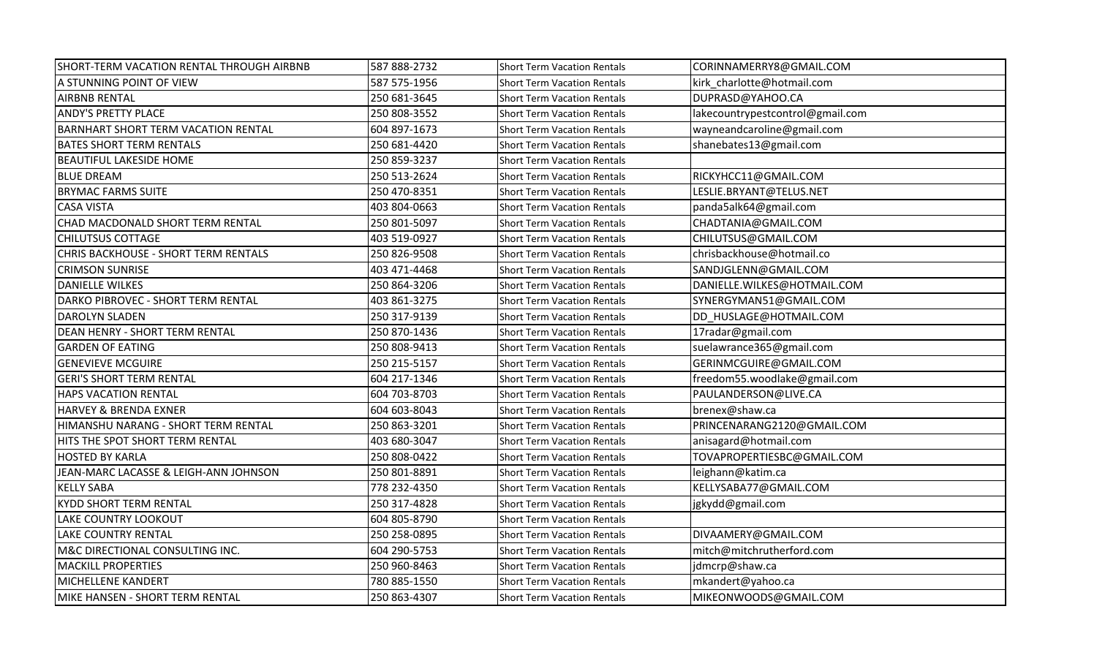| SHORT-TERM VACATION RENTAL THROUGH AIRBNB  | 587 888-2732 | <b>Short Term Vacation Rentals</b> | CORINNAMERRY8@GMAIL.COM          |
|--------------------------------------------|--------------|------------------------------------|----------------------------------|
| A STUNNING POINT OF VIEW                   | 587 575-1956 | Short Term Vacation Rentals        | kirk_charlotte@hotmail.com       |
| <b>AIRBNB RENTAL</b>                       | 250 681-3645 | Short Term Vacation Rentals        | DUPRASD@YAHOO.CA                 |
| <b>ANDY'S PRETTY PLACE</b>                 | 250 808-3552 | <b>Short Term Vacation Rentals</b> | lakecountrypestcontrol@gmail.com |
| <b>BARNHART SHORT TERM VACATION RENTAL</b> | 604 897-1673 | <b>Short Term Vacation Rentals</b> | wayneandcaroline@gmail.com       |
| <b>BATES SHORT TERM RENTALS</b>            | 250 681-4420 | <b>Short Term Vacation Rentals</b> | shanebates13@gmail.com           |
| <b>BEAUTIFUL LAKESIDE HOME</b>             | 250 859-3237 | <b>Short Term Vacation Rentals</b> |                                  |
| <b>BLUE DREAM</b>                          | 250 513-2624 | <b>Short Term Vacation Rentals</b> | RICKYHCC11@GMAIL.COM             |
| <b>BRYMAC FARMS SUITE</b>                  | 250 470-8351 | Short Term Vacation Rentals        | LESLIE.BRYANT@TELUS.NET          |
| <b>CASA VISTA</b>                          | 403 804-0663 | <b>Short Term Vacation Rentals</b> | panda5alk64@gmail.com            |
| CHAD MACDONALD SHORT TERM RENTAL           | 250 801-5097 | <b>Short Term Vacation Rentals</b> | CHADTANIA@GMAIL.COM              |
| <b>CHILUTSUS COTTAGE</b>                   | 403 519-0927 | <b>Short Term Vacation Rentals</b> | CHILUTSUS@GMAIL.COM              |
| CHRIS BACKHOUSE - SHORT TERM RENTALS       | 250 826-9508 | <b>Short Term Vacation Rentals</b> | chrisbackhouse@hotmail.co        |
| <b>CRIMSON SUNRISE</b>                     | 403 471-4468 | Short Term Vacation Rentals        | SANDJGLENN@GMAIL.COM             |
| <b>DANIELLE WILKES</b>                     | 250 864-3206 | <b>Short Term Vacation Rentals</b> | DANIELLE.WILKES@HOTMAIL.COM      |
| DARKO PIBROVEC - SHORT TERM RENTAL         | 403 861-3275 | Short Term Vacation Rentals        | SYNERGYMAN51@GMAIL.COM           |
| <b>DAROLYN SLADEN</b>                      | 250 317-9139 | <b>Short Term Vacation Rentals</b> | DD_HUSLAGE@HOTMAIL.COM           |
| DEAN HENRY - SHORT TERM RENTAL             | 250 870-1436 | <b>Short Term Vacation Rentals</b> | 17radar@gmail.com                |
| <b>GARDEN OF EATING</b>                    | 250 808-9413 | <b>Short Term Vacation Rentals</b> | suelawrance365@gmail.com         |
| <b>GENEVIEVE MCGUIRE</b>                   | 250 215-5157 | <b>Short Term Vacation Rentals</b> | GERINMCGUIRE@GMAIL.COM           |
| <b>GERI'S SHORT TERM RENTAL</b>            | 604 217-1346 | <b>Short Term Vacation Rentals</b> | freedom55.woodlake@gmail.com     |
| <b>HAPS VACATION RENTAL</b>                | 604 703-8703 | <b>Short Term Vacation Rentals</b> | PAULANDERSON@LIVE.CA             |
| <b>HARVEY &amp; BRENDA EXNER</b>           | 604 603-8043 | <b>Short Term Vacation Rentals</b> | brenex@shaw.ca                   |
| HIMANSHU NARANG - SHORT TERM RENTAL        | 250 863-3201 | <b>Short Term Vacation Rentals</b> | PRINCENARANG2120@GMAIL.COM       |
| HITS THE SPOT SHORT TERM RENTAL            | 403 680-3047 | <b>Short Term Vacation Rentals</b> | anisagard@hotmail.com            |
| <b>HOSTED BY KARLA</b>                     | 250 808-0422 | <b>Short Term Vacation Rentals</b> | TOVAPROPERTIESBC@GMAIL.COM       |
| JEAN-MARC LACASSE & LEIGH-ANN JOHNSON      | 250 801-8891 | <b>Short Term Vacation Rentals</b> | leighann@katim.ca                |
| <b>KELLY SABA</b>                          | 778 232-4350 | <b>Short Term Vacation Rentals</b> | KELLYSABA77@GMAIL.COM            |
| <b>KYDD SHORT TERM RENTAL</b>              | 250 317-4828 | <b>Short Term Vacation Rentals</b> | jgkydd@gmail.com                 |
| LAKE COUNTRY LOOKOUT                       | 604 805-8790 | Short Term Vacation Rentals        |                                  |
| <b>LAKE COUNTRY RENTAL</b>                 | 250 258-0895 | <b>Short Term Vacation Rentals</b> | DIVAAMERY@GMAIL.COM              |
| M&C DIRECTIONAL CONSULTING INC.            | 604 290-5753 | <b>Short Term Vacation Rentals</b> | mitch@mitchrutherford.com        |
| <b>MACKILL PROPERTIES</b>                  | 250 960-8463 | <b>Short Term Vacation Rentals</b> | jdmcrp@shaw.ca                   |
| <b>MICHELLENE KANDERT</b>                  | 780 885-1550 | <b>Short Term Vacation Rentals</b> | mkandert@yahoo.ca                |
| MIKE HANSEN - SHORT TERM RENTAL            | 250 863-4307 | <b>Short Term Vacation Rentals</b> | MIKEONWOODS@GMAIL.COM            |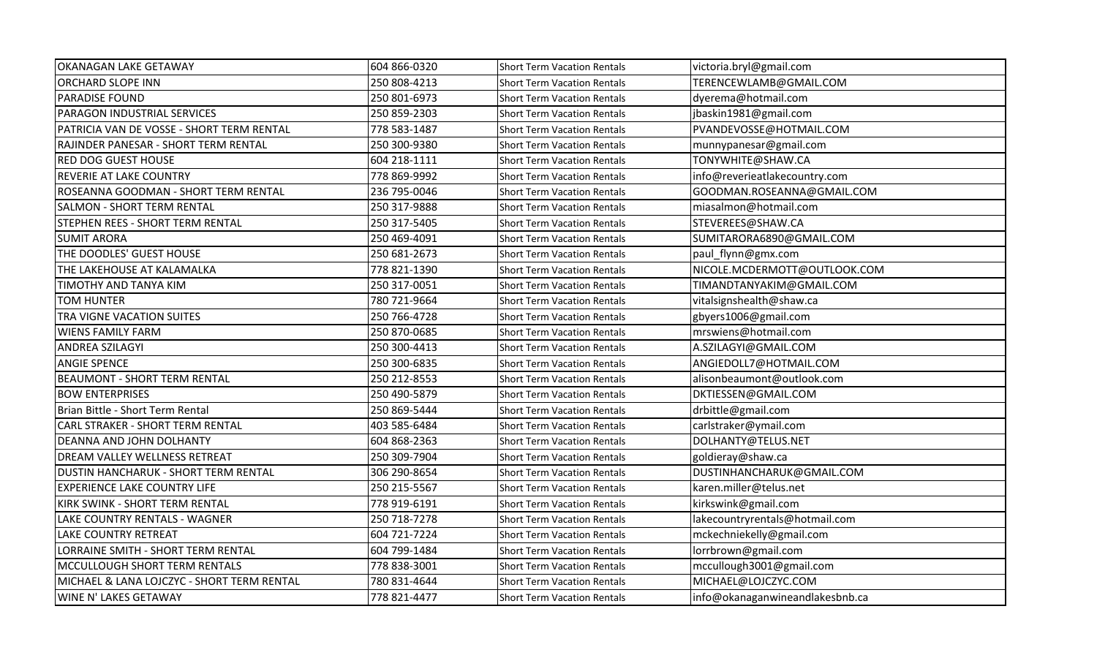| <b>OKANAGAN LAKE GETAWAY</b>               | 604 866-0320 | <b>Short Term Vacation Rentals</b> | victoria.bryl@gmail.com         |
|--------------------------------------------|--------------|------------------------------------|---------------------------------|
| <b>ORCHARD SLOPE INN</b>                   | 250 808-4213 | <b>Short Term Vacation Rentals</b> | TERENCEWLAMB@GMAIL.COM          |
| <b>PARADISE FOUND</b>                      | 250 801-6973 | <b>Short Term Vacation Rentals</b> | dyerema@hotmail.com             |
| PARAGON INDUSTRIAL SERVICES                | 250 859-2303 | <b>Short Term Vacation Rentals</b> | jbaskin1981@gmail.com           |
| PATRICIA VAN DE VOSSE - SHORT TERM RENTAL  | 778 583-1487 | <b>Short Term Vacation Rentals</b> | PVANDEVOSSE@HOTMAIL.COM         |
| RAJINDER PANESAR - SHORT TERM RENTAL       | 250 300-9380 | <b>Short Term Vacation Rentals</b> | munnypanesar@gmail.com          |
| <b>RED DOG GUEST HOUSE</b>                 | 604 218-1111 | <b>Short Term Vacation Rentals</b> | TONYWHITE@SHAW.CA               |
| REVERIE AT LAKE COUNTRY                    | 778 869-9992 | <b>Short Term Vacation Rentals</b> | info@reverieatlakecountry.com   |
| ROSEANNA GOODMAN - SHORT TERM RENTAL       | 236 795-0046 | <b>Short Term Vacation Rentals</b> | GOODMAN.ROSEANNA@GMAIL.COM      |
| <b>SALMON - SHORT TERM RENTAL</b>          | 250 317-9888 | <b>Short Term Vacation Rentals</b> | miasalmon@hotmail.com           |
| STEPHEN REES - SHORT TERM RENTAL           | 250 317-5405 | <b>Short Term Vacation Rentals</b> | STEVEREES@SHAW.CA               |
| <b>SUMIT ARORA</b>                         | 250 469-4091 | <b>Short Term Vacation Rentals</b> | SUMITARORA6890@GMAIL.COM        |
| THE DOODLES' GUEST HOUSE                   | 250 681-2673 | <b>Short Term Vacation Rentals</b> | paul_flynn@gmx.com              |
| THE LAKEHOUSE AT KALAMALKA                 | 778 821-1390 | <b>Short Term Vacation Rentals</b> | NICOLE.MCDERMOTT@OUTLOOK.COM    |
| TIMOTHY AND TANYA KIM                      | 250 317-0051 | <b>Short Term Vacation Rentals</b> | TIMANDTANYAKIM@GMAIL.COM        |
| <b>TOM HUNTER</b>                          | 780 721-9664 | Short Term Vacation Rentals        | vitalsignshealth@shaw.ca        |
| TRA VIGNE VACATION SUITES                  | 250 766-4728 | <b>Short Term Vacation Rentals</b> | gbyers1006@gmail.com            |
| <b>WIENS FAMILY FARM</b>                   | 250 870-0685 | <b>Short Term Vacation Rentals</b> | mrswiens@hotmail.com            |
| <b>ANDREA SZILAGYI</b>                     | 250 300-4413 | <b>Short Term Vacation Rentals</b> | A.SZILAGYI@GMAIL.COM            |
| <b>ANGIE SPENCE</b>                        | 250 300-6835 | <b>Short Term Vacation Rentals</b> | ANGIEDOLL7@HOTMAIL.COM          |
| <b>BEAUMONT - SHORT TERM RENTAL</b>        | 250 212-8553 | Short Term Vacation Rentals        | alisonbeaumont@outlook.com      |
| <b>BOW ENTERPRISES</b>                     | 250 490-5879 | <b>Short Term Vacation Rentals</b> | DKTIESSEN@GMAIL.COM             |
| Brian Bittle - Short Term Rental           | 250 869-5444 | Short Term Vacation Rentals        | drbittle@gmail.com              |
| <b>CARL STRAKER - SHORT TERM RENTAL</b>    | 403 585-6484 | <b>Short Term Vacation Rentals</b> | carlstraker@ymail.com           |
| DEANNA AND JOHN DOLHANTY                   | 604 868-2363 | <b>Short Term Vacation Rentals</b> | DOLHANTY@TELUS.NET              |
| <b>DREAM VALLEY WELLNESS RETREAT</b>       | 250 309-7904 | <b>Short Term Vacation Rentals</b> | goldieray@shaw.ca               |
| DUSTIN HANCHARUK - SHORT TERM RENTAL       | 306 290-8654 | <b>Short Term Vacation Rentals</b> | DUSTINHANCHARUK@GMAIL.COM       |
| <b>EXPERIENCE LAKE COUNTRY LIFE</b>        | 250 215-5567 | <b>Short Term Vacation Rentals</b> | karen.miller@telus.net          |
| KIRK SWINK - SHORT TERM RENTAL             | 778 919-6191 | <b>Short Term Vacation Rentals</b> | kirkswink@gmail.com             |
| LAKE COUNTRY RENTALS - WAGNER              | 250 718-7278 | <b>Short Term Vacation Rentals</b> | lakecountryrentals@hotmail.com  |
| LAKE COUNTRY RETREAT                       | 604 721-7224 | <b>Short Term Vacation Rentals</b> | mckechniekelly@gmail.com        |
| LORRAINE SMITH - SHORT TERM RENTAL         | 604 799-1484 | <b>Short Term Vacation Rentals</b> | lorrbrown@gmail.com             |
| MCCULLOUGH SHORT TERM RENTALS              | 778 838-3001 | <b>Short Term Vacation Rentals</b> | mccullough3001@gmail.com        |
| MICHAEL & LANA LOJCZYC - SHORT TERM RENTAL | 780 831-4644 | <b>Short Term Vacation Rentals</b> | MICHAEL@LOJCZYC.COM             |
| <b>WINE N' LAKES GETAWAY</b>               | 778 821-4477 | <b>Short Term Vacation Rentals</b> | info@okanaganwineandlakesbnb.ca |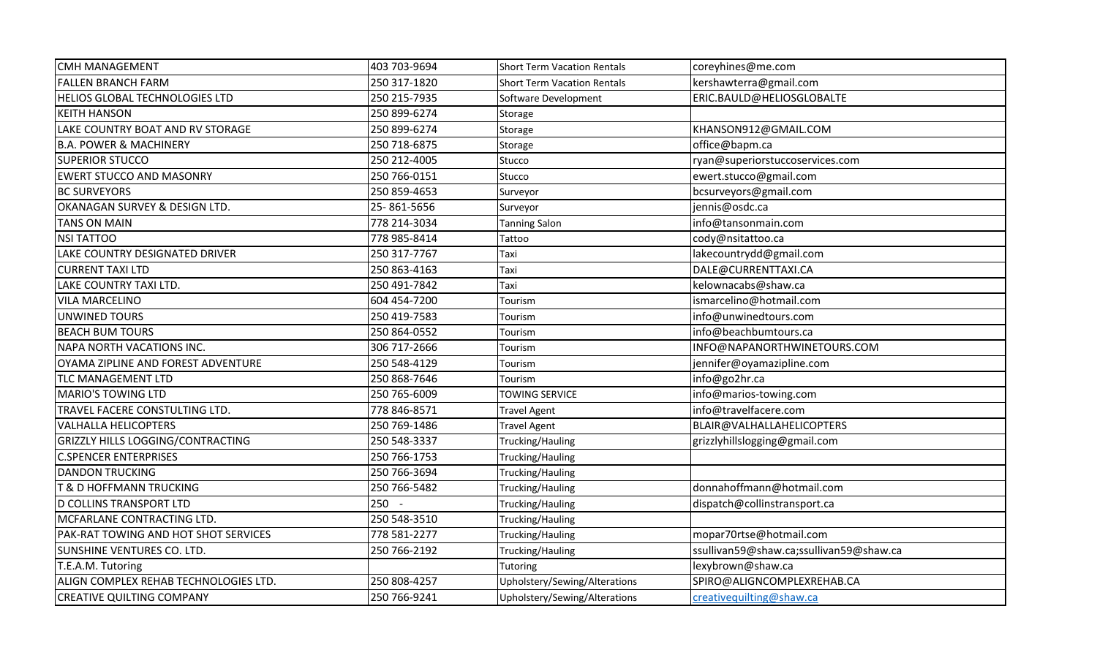| <b>CMH MANAGEMENT</b>                 | 403 703-9694 | <b>Short Term Vacation Rentals</b> | coreyhines@me.com                       |
|---------------------------------------|--------------|------------------------------------|-----------------------------------------|
| <b>FALLEN BRANCH FARM</b>             | 250 317-1820 | <b>Short Term Vacation Rentals</b> | kershawterra@gmail.com                  |
| HELIOS GLOBAL TECHNOLOGIES LTD        | 250 215-7935 | Software Development               | ERIC.BAULD@HELIOSGLOBALTE               |
| <b>KEITH HANSON</b>                   | 250 899-6274 | Storage                            |                                         |
| LAKE COUNTRY BOAT AND RV STORAGE      | 250 899-6274 | Storage                            | KHANSON912@GMAIL.COM                    |
| <b>B.A. POWER &amp; MACHINERY</b>     | 250 718-6875 | Storage                            | office@bapm.ca                          |
| <b>SUPERIOR STUCCO</b>                | 250 212-4005 | Stucco                             | ryan@superiorstuccoservices.com         |
| <b>EWERT STUCCO AND MASONRY</b>       | 250 766-0151 | Stucco                             | ewert.stucco@gmail.com                  |
| <b>BC SURVEYORS</b>                   | 250 859-4653 | Surveyor                           | bcsurveyors@gmail.com                   |
| OKANAGAN SURVEY & DESIGN LTD.         | 25-861-5656  | Surveyor                           | jennis@osdc.ca                          |
| <b>TANS ON MAIN</b>                   | 778 214-3034 | <b>Tanning Salon</b>               | info@tansonmain.com                     |
| <b>NSI TATTOO</b>                     | 778 985-8414 | Tattoo                             | cody@nsitattoo.ca                       |
| LAKE COUNTRY DESIGNATED DRIVER        | 250 317-7767 | Taxi                               | lakecountrydd@gmail.com                 |
| <b>CURRENT TAXI LTD</b>               | 250 863-4163 | Taxi                               | DALE@CURRENTTAXI.CA                     |
| LAKE COUNTRY TAXI LTD.                | 250 491-7842 | Taxi                               | kelownacabs@shaw.ca                     |
| <b>VILA MARCELINO</b>                 | 604 454-7200 | Tourism                            | ismarcelino@hotmail.com                 |
| <b>UNWINED TOURS</b>                  | 250 419-7583 | Tourism                            | info@unwinedtours.com                   |
| <b>BEACH BUM TOURS</b>                | 250 864-0552 | Tourism                            | info@beachbumtours.ca                   |
| NAPA NORTH VACATIONS INC.             | 306 717-2666 | Tourism                            | INFO@NAPANORTHWINETOURS.COM             |
| OYAMA ZIPLINE AND FOREST ADVENTURE    | 250 548-4129 | Tourism                            | jennifer@oyamazipline.com               |
| <b>TLC MANAGEMENT LTD</b>             | 250 868-7646 | Tourism                            | info@go2hr.ca                           |
| <b>MARIO'S TOWING LTD</b>             | 250 765-6009 | <b>TOWING SERVICE</b>              | info@marios-towing.com                  |
| TRAVEL FACERE CONSTULTING LTD.        | 778 846-8571 | <b>Travel Agent</b>                | info@travelfacere.com                   |
| <b>VALHALLA HELICOPTERS</b>           | 250 769-1486 | <b>Travel Agent</b>                | BLAIR@VALHALLAHELICOPTERS               |
| GRIZZLY HILLS LOGGING/CONTRACTING     | 250 548-3337 | Trucking/Hauling                   | grizzlyhillslogging@gmail.com           |
| <b>C.SPENCER ENTERPRISES</b>          | 250 766-1753 | <b>Trucking/Hauling</b>            |                                         |
| <b>DANDON TRUCKING</b>                | 250 766-3694 | Trucking/Hauling                   |                                         |
| T & D HOFFMANN TRUCKING               | 250 766-5482 | Trucking/Hauling                   | donnahoffmann@hotmail.com               |
| <b>D COLLINS TRANSPORT LTD</b>        | $250 -$      | Trucking/Hauling                   | dispatch@collinstransport.ca            |
| MCFARLANE CONTRACTING LTD.            | 250 548-3510 | Trucking/Hauling                   |                                         |
| PAK-RAT TOWING AND HOT SHOT SERVICES  | 778 581-2277 | Trucking/Hauling                   | mopar70rtse@hotmail.com                 |
| SUNSHINE VENTURES CO. LTD.            | 250 766-2192 | Trucking/Hauling                   | ssullivan59@shaw.ca;ssullivan59@shaw.ca |
| T.E.A.M. Tutoring                     |              | Tutoring                           | lexybrown@shaw.ca                       |
| ALIGN COMPLEX REHAB TECHNOLOGIES LTD. | 250 808-4257 | Upholstery/Sewing/Alterations      | SPIRO@ALIGNCOMPLEXREHAB.CA              |
| <b>CREATIVE QUILTING COMPANY</b>      | 250 766-9241 | Upholstery/Sewing/Alterations      | creativequilting@shaw.ca                |
|                                       |              |                                    |                                         |